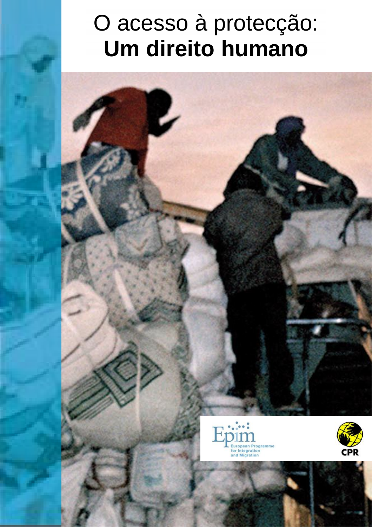# O acesso à protecção: **Um direito humano**

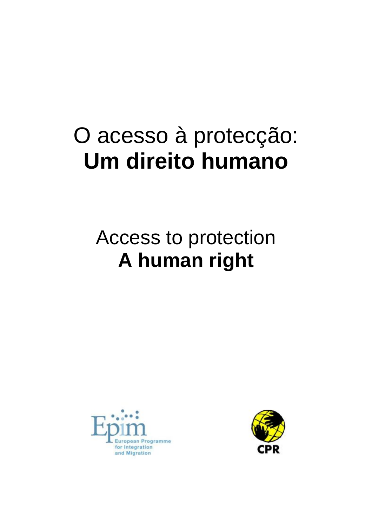# O acesso à protecção: **Um direito humano**

## Access to protection **A human right**



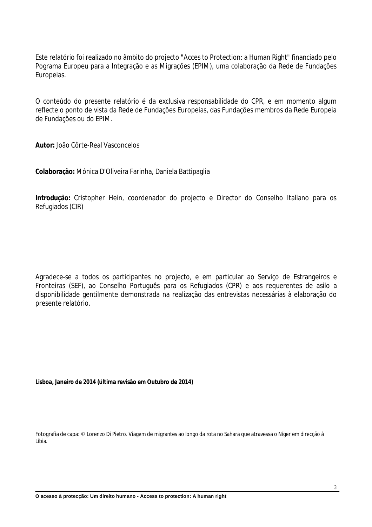Este relatório foi realizado no âmbito do projecto "Acces to Protection: a Human Right" financiado pelo Pograma Europeu para a Integração e as Migrações (EPIM), uma colaboração da Rede de Fundações Europeias.

O conteúdo do presente relatório é da exclusiva responsabilidade do CPR, e em momento algum reflecte o ponto de vista da Rede de Fundações Europeias, das Fundações membros da Rede Europeia de Fundações ou do EPIM.

**Autor:** João Côrte-Real Vasconcelos

**Colaboração:** Mónica D'Oliveira Farinha, Daniela Battipaglia

**Introdução:** Cristopher Hein, coordenador do projecto e Director do Conselho Italiano para os Refugiados (CIR)

Agradece-se a todos os participantes no projecto, e em particular ao Serviço de Estrangeiros e Fronteiras (SEF), ao Conselho Português para os Refugiados (CPR) e aos requerentes de asilo a disponibilidade gentilmente demonstrada na realização das entrevistas necessárias à elaboração do presente relatório.

**Lisboa, Janeiro de 2014 (última revisão em Outubro de 2014)**

Fotografia de capa: © Lorenzo Di Pietro. Viagem de migrantes ao longo da rota no Sahara que atravessa o Níger em direcção à Líbia.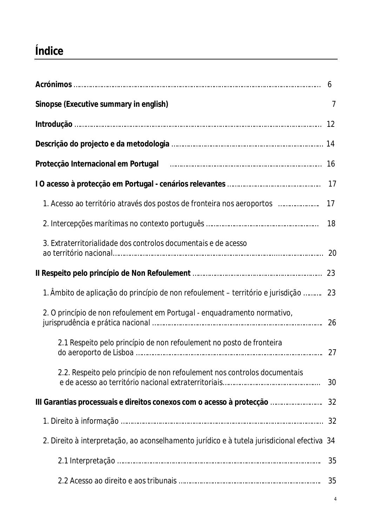## **Índice**

|                                                                                                               | 6              |
|---------------------------------------------------------------------------------------------------------------|----------------|
| Sinopse (Executive summary in english)                                                                        | $\overline{7}$ |
|                                                                                                               |                |
|                                                                                                               |                |
| Protecção Internacional em Portugal [1986] [1986] [1986] [1986] [1986] [1986] [1986] [1986] [1987] [1987] [19 |                |
|                                                                                                               | 17             |
| 1. Acesso ao território através dos postos de fronteira nos aeroportos                                        | 17             |
|                                                                                                               |                |
| 3. Extraterritorialidade dos controlos documentais e de acesso                                                |                |
|                                                                                                               | 23             |
| 1. Âmbito de aplicação do princípio de non refoulement – território e jurisdição  23                          |                |
| 2. O princípio de non refoulement em Portugal - enquadramento normativo,                                      |                |
| 2.1 Respeito pelo princípio de non refoulement no posto de fronteira                                          |                |
| 2.2. Respeito pelo princípio de non refoulement nos controlos documentais                                     | 30             |
|                                                                                                               |                |
|                                                                                                               | 32             |
| 2. Direito à interpretação, ao aconselhamento jurídico e à tutela jurisdicional efectiva 34                   |                |
|                                                                                                               | 35             |
|                                                                                                               | 35             |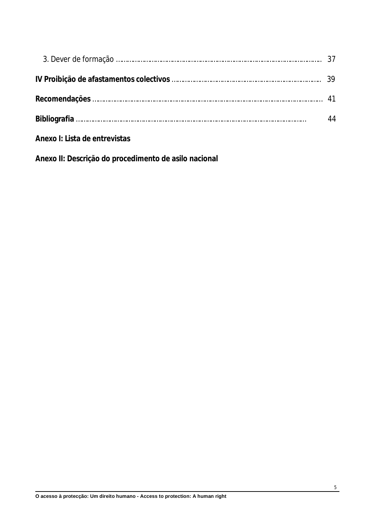|                               | 44 |
|-------------------------------|----|
| Anexo I: Lista de entrevistas |    |

**Anexo II: Descrição do procedimento de asilo nacional**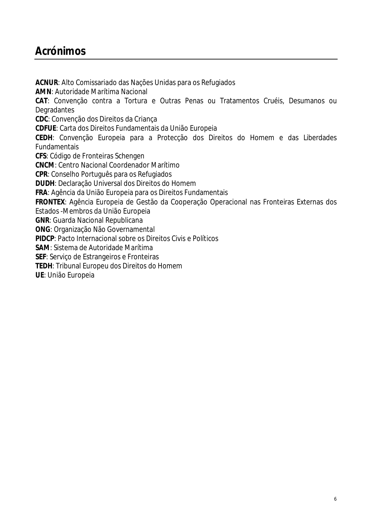## **Acrónimos**

**ACNUR**: Alto Comissariado das Nações Unidas para os Refugiados **AMN**: Autoridade Marítima Nacional **CAT**: Convenção contra a Tortura e Outras Penas ou Tratamentos Cruéis, Desumanos ou **Degradantes CDC**: Convenção dos Direitos da Criança **CDFUE**: Carta dos Direitos Fundamentais da União Europeia **CEDH**: Convenção Europeia para a Protecção dos Direitos do Homem e das Liberdades Fundamentais **CFS**: Código de Fronteiras Schengen **CNCM**: Centro Nacional Coordenador Marítimo **CPR**: Conselho Português para os Refugiados **DUDH**: Declaração Universal dos Direitos do Homem **FRA**: Agência da União Europeia para os Direitos Fundamentais **FRONTEX**: Agência Europeia de Gestão da Cooperação Operacional nas Fronteiras Externas dos Estados -Membros da União Europeia **GNR**: Guarda Nacional Republicana **ONG**: Organização Não Governamental **PIDCP**: Pacto Internacional sobre os Direitos Civis e Políticos **SAM**: Sistema de Autoridade Marítima **SEF**: Serviço de Estrangeiros e Fronteiras **TEDH**: Tribunal Europeu dos Direitos do Homem **UE**: União Europeia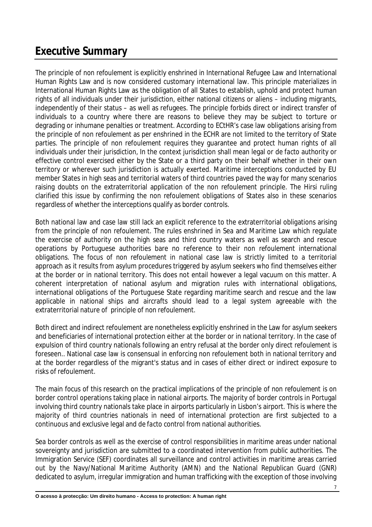## **Executive Summary**

The principle of *non refoulement* is explicitly enshrined in International Refugee Law and International Human Rights Law and is now considered customary international law. This principle materializes in International Human Rights Law as the obligation of all States to establish, uphold and protect human rights of all individuals under their jurisdiction, either national citizens or aliens – including migrants, independently of their status – as well as refugees. The principle forbids direct or indirect transfer of individuals to a country where there are reasons to believe they may be subject to torture or degrading or inhumane penalties or treatment. According to ECtHR's case law obligations arising from the principle of *non refoulement* as per enshrined in the ECHR are not limited to the territory of State parties. The principle of *non refoulement* requires they guarantee and protect human rights of all individuals under their jurisdiction, In the context jurisdiction shall mean legal or *de facto* authority or effective control exercised either by the State or a third party on their behalf whether in their own territory or wherever such jurisdiction is actually exerted. Maritime interceptions conducted by EU member States in high seas and territorial waters of third countries paved the way for many scenarios raising doubts on the extraterritorial application of the *non refoulement* principle. The Hirsi ruling clarified this issue by confirming the *non refoulement* obligations of States also in these scenarios regardless of whether the interceptions qualify as border controls.

Both national law and case law still lack an explicit reference to the extraterritorial obligations arising from the principle of *non refoulement*. The rules enshrined in Sea and Maritime Law which regulate the exercise of authority on the high seas and third country waters as well as search and rescue operations by Portuguese authorities bare no reference to their *non refoulement* international obligations. The focus of *non refoulement* in national case law is strictly limited to a territorial approach as it results from asylum procedures triggered by asylum seekers who find themselves either at the border or in national territory. This does not entail however a legal vacuum on this matter. A coherent interpretation of national asylum and migration rules with international obligations, international obligations of the Portuguese State regarding maritime search and rescue and the law applicable in national ships and aircrafts should lead to a legal system agreeable with the extraterritorial nature of principle of *non refoulement*.

Both direct and indirect *refoulement* are nonetheless explicitly enshrined in the Law for asylum seekers and beneficiaries of international protection either at the border or in national territory. In the case of expulsion of third country nationals following an entry refusal at the border only direct *refoulement* is foreseen*.*. National case law is consensual in enforcing *non refoulement* both in national territory and at the border regardless of the migrant's status and in cases of either direct or indirect exposure to risks of r*efoulement*.

The main focus of this research on the practical implications of the principle of *non refoulement* is on border control operations taking place in national airports. The majority of border controls in Portugal involving third country nationals take place in airports particularly in Lisbon's airport. This is where the majority of third countries nationals in need of international protection are first subjected to a continuous and exclusive legal and *de facto* control from national authorities.

Sea border controls as well as the exercise of control responsibilities in maritime areas under national sovereignty and jurisdiction are submitted to a coordinated intervention from public authorities. The Immigration Service (SEF) coordinates all surveillance and control activities in maritime areas carried out by the Navy/National Maritime Authority (AMN) and the National Republican Guard (GNR) dedicated to asylum, irregular immigration and human trafficking with the exception of those involving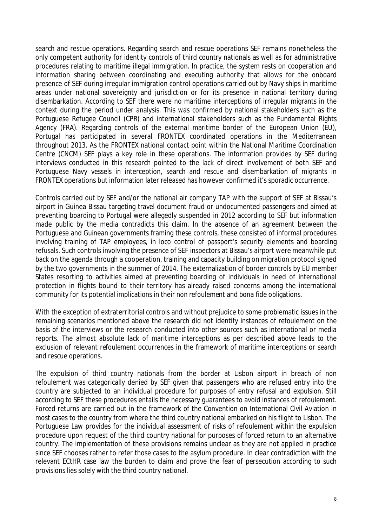search and rescue operations. Regarding search and rescue operations SEF remains nonetheless the only competent authority for identity controls of third country nationals as well as for administrative procedures relating to maritime illegal immigration. In practice, the system rests on cooperation and information sharing between coordinating and executing authority that allows for the onboard presence of SEF during irregular immigration control operations carried out by Navy ships in maritime areas under national sovereignty and jurisdiction or for its presence in national territory during disembarkation. According to SEF there were no maritime interceptions of irregular migrants in the context during the period under analysis. This was confirmed by national stakeholders such as the Portuguese Refugee Council (CPR) and international stakeholders such as the Fundamental Rights Agency (FRA). Regarding controls of the external maritime border of the European Union (EU), Portugal has participated in several FRONTEX coordinated operations in the Mediterranean throughout 2013. As the FRONTEX national contact point within the National Maritime Coordination Centre (CNCM) SEF plays a key role in these operations. The information provides by SEF during interviews conducted in this research pointed to the lack of direct involvement of both SEF and Portuguese Navy vessels in interception, search and rescue and disembarkation of migrants in FRONTEX operations but information later released has however confirmed it's sporadic occurrence.

Controls carried out by SEF and/or the national air company TAP with the support of SEF at Bissau's airport in Guinea Bissau targeting travel document fraud or undocumented passengers and aimed at preventing boarding to Portugal were allegedly suspended in 2012 according to SEF but information made public by the media contradicts this claim. In the absence of an agreement between the Portuguese and Guinean governments framing these controls, these consisted of informal procedures involving training of TAP employees, *in loco* control of passport's security elements and boarding refusals. Such controls involving the presence of SEF inspectors at Bissau's airport were meanwhile put back on the agenda through a cooperation, training and capacity building on migration protocol signed by the two governments in the summer of 2014. The externalization of border controls by EU member States resorting to activities aimed at preventing boarding of individuals in need of international protection in flights bound to their territory has already raised concerns among the international community for its potential implications in their *non refoulement* and *bona fide* obligations.

With the exception of extraterritorial controls and without prejudice to some problematic issues in the remaining scenarios mentioned above the research did not identify instances of *refoulement* on the basis of the interviews or the research conducted into other sources such as international or media reports. The almost absolute lack of maritime interceptions as per described above leads to the exclusion of relevant *refoulement* occurrences in the framework of maritime interceptions or search and rescue operations.

The expulsion of third country nationals from the border at Lisbon airport in breach of *non refoulement* was categorically denied by SEF given that passengers who are refused entry into the country are subjected to an individual procedure for purposes of entry refusal and expulsion. Still according to SEF these procedures entails the necessary guarantees to avoid instances of *refoulement.*  Forced returns are carried out in the framework of the Convention on International Civil Aviation in most cases to the country from where the third country national embarked on his flight to Lisbon. The Portuguese Law provides for the individual assessment of risks of *refoulement* within the expulsion procedure upon request of the third country national for purposes of forced return to an alternative country. The implementation of these provisions remains unclear as they are not applied in practice since SEF chooses rather to refer those cases to the asylum procedure. In clear contradiction with the relevant ECtHR case law the burden to claim and prove the fear of persecution according to such provisions lies solely with the third country national.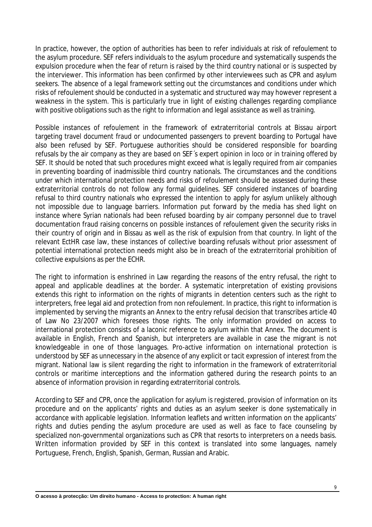In practice, however, the option of authorities has been to refer individuals at risk of *refoulement* to the asylum procedure. SEF refers individuals to the asylum procedure and systematically suspends the expulsion procedure when the fear of return is raised by the third country national or is suspected by the interviewer. This information has been confirmed by other interviewees such as CPR and asylum seekers. The absence of a legal framework setting out the circumstances and conditions under which risks of *refoulement* should be conducted in a systematic and structured way may however represent a weakness in the system. This is particularly true in light of existing challenges regarding compliance with positive obligations such as the right to information and legal assistance as well as training.

Possible instances of *refoulement* in the framework of extraterritorial controls at Bissau airport targeting travel document fraud or undocumented passengers to prevent boarding to Portugal have also been refused by SEF. Portuguese authorities should be considered responsible for boarding refusals by the air company as they are based on SEF´s expert opinion *in loco* or in training offered by SEF. It should be noted that such procedures might exceed what is legally required from air companies in preventing boarding of inadmissible third country nationals. The circumstances and the conditions under which international protection needs and risks of *refoulement* should be assessed during these extraterritorial controls do not follow any formal guidelines. SEF considered instances of boarding refusal to third country nationals who expressed the intention to apply for asylum unlikely although not impossible due to language barriers. Information put forward by the media has shed light on instance where Syrian nationals had been refused boarding by air company personnel due to travel documentation fraud raising concerns on possible instances of *refoulement* given the security risks in their country of origin and in Bissau as well as the risk of expulsion from that country. In light of the relevant EctHR case law, these instances of collective boarding refusals without prior assessment of potential international protection needs might also be in breach of the extraterritorial prohibition of collective expulsions as per the ECHR.

The right to information is enshrined in Law regarding the reasons of the entry refusal, the right to appeal and applicable deadlines at the border. A systematic interpretation of existing provisions extends this right to information on the rights of migrants in detention centers such as the right to interpreters, free legal aid and protection from *non refoulement*. In practice, this right to information is implemented by serving the migrants an Annex to the entry refusal decision that transcribes article 40 of Law No 23/2007 which foresees those rights. The only information provided on access to international protection consists of a laconic reference to asylum within that Annex. The document is available in English, French and Spanish, but interpreters are available in case the migrant is not knowledgeable in one of those languages. Pro-active information on international protection is understood by SEF as unnecessary in the absence of any explicit or tacit expression of interest from the migrant. National law is silent regarding the right to information in the framework of extraterritorial controls or maritime interceptions and the information gathered during the research points to an absence of information provision in regarding extraterritorial controls.

According to SEF and CPR, once the application for asylum is registered, provision of information on its procedure and on the applicants' rights and duties as an asylum seeker is done systematically in accordance with applicable legislation. Information leaflets and written information on the applicants' rights and duties pending the asylum procedure are used as well as face to face counseling by specialized non-governmental organizations such as CPR that resorts to interpreters on a needs basis. Written information provided by SEF in this context is translated into some languages, namely Portuguese, French, English, Spanish, German, Russian and Arabic.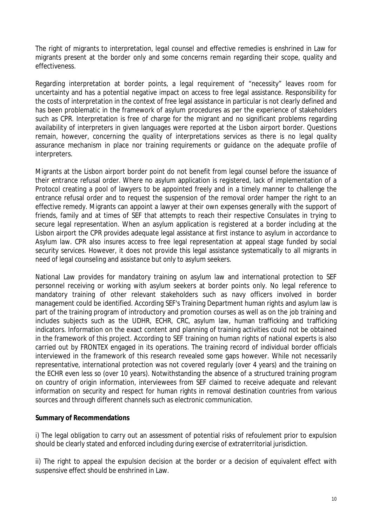The right of migrants to interpretation, legal counsel and effective remedies is enshrined in Law for migrants present at the border only and some concerns remain regarding their scope, quality and effectiveness.

Regarding interpretation at border points, a legal requirement of "necessity" leaves room for uncertainty and has a potential negative impact on access to free legal assistance. Responsibility for the costs of interpretation in the context of free legal assistance in particular is not clearly defined and has been problematic in the framework of asylum procedures as per the experience of stakeholders such as CPR. Interpretation is free of charge for the migrant and no significant problems regarding availability of interpreters in given languages were reported at the Lisbon airport border. Questions remain, however, concerning the quality of interpretations services as there is no legal quality assurance mechanism in place nor training requirements or guidance on the adequate profile of interpreters.

Migrants at the Lisbon airport border point do not benefit from legal counsel before the issuance of their entrance refusal order. Where no asylum application is registered, lack of implementation of a Protocol creating a pool of lawyers to be appointed freely and in a timely manner to challenge the entrance refusal order and to request the suspension of the removal order hamper the right to an effective remedy. Migrants can appoint a lawyer at their own expenses generally with the support of friends, family and at times of SEF that attempts to reach their respective Consulates in trying to secure legal representation. When an asylum application is registered at a border including at the Lisbon airport the CPR provides adequate legal assistance at first instance to asylum in accordance to Asylum law. CPR also insures access to free legal representation at appeal stage funded by social security services. However, it does not provide this legal assistance systematically to all migrants in need of legal counseling and assistance but only to asylum seekers.

National Law provides for mandatory training on asylum law and international protection to SEF personnel receiving or working with asylum seekers at border points only. No legal reference to mandatory training of other relevant stakeholders such as navy officers involved in border management could be identified. According SEF's Training Department human rights and asylum law is part of the training program of introductory and promotion courses as well as on the job training and includes subjects such as the UDHR, ECHR, CRC, asylum law, human trafficking and trafficking indicators. Information on the exact content and planning of training activities could not be obtained in the framework of this project. According to SEF training on human rights of national experts is also carried out by FRONTEX engaged in its operations. The training record of individual border officials interviewed in the framework of this research revealed some gaps however. While not necessarily representative, international protection was not covered regularly (over 4 years) and the training on the ECHR even less so (over 10 years). Notwithstanding the absence of a structured training program on country of origin information, interviewees from SEF claimed to receive adequate and relevant information on security and respect for human rights in removal destination countries from various sources and through different channels such as electronic communication.

#### **Summary of Recommendations**

i) The legal obligation to carry out an assessment of potential risks of *refoulement* prior to expulsion should be clearly stated and enforced including during exercise of extraterritorial jurisdiction.

ii) The right to appeal the expulsion decision at the border or a decision of equivalent effect with suspensive effect should be enshrined in Law.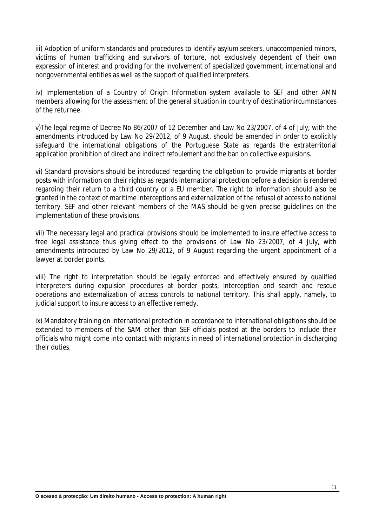iii) Adoption of uniform standards and procedures to identify asylum seekers, unaccompanied minors, victims of human trafficking and survivors of torture, not exclusively dependent of their own expression of interest and providing for the involvement of specialized government, international and nongovernmental entities as well as the support of qualified interpreters.

iv) Implementation of a Country of Origin Information system available to SEF and other AMN members allowing for the assessment of the general situation in country of destinationircumnstances of the returnee.

v)The legal regime of Decree No 86/2007 of 12 December and Law No 23/2007, of 4 of July, with the amendments introduced by Law No 29/2012, of 9 August, should be amended in order to explicitly safeguard the international obligations of the Portuguese State as regards the extraterritorial application prohibition of direct and indirect *refoulement* and the ban on collective expulsions.

vi) Standard provisions should be introduced regarding the obligation to provide migrants at border posts with information on their rights as regards international protection before a decision is rendered regarding their return to a third country or a EU member. The right to information should also be granted in the context of maritime interceptions and externalization of the refusal of access to national territory. SEF and other relevant members of the MAS should be given precise guidelines on the implementation of these provisions.

vii) The necessary legal and practical provisions should be implemented to insure effective access to free legal assistance thus giving effect to the provisions of Law No 23/2007, of 4 July, with amendments introduced by Law No 29/2012, of 9 August regarding the urgent appointment of a lawyer at border points.

viii) The right to interpretation should be legally enforced and effectively ensured by qualified interpreters during expulsion procedures at border posts, interception and search and rescue operations and externalization of access controls to national territory. This shall apply, namely, to judicial support to insure access to an effective remedy.

ix) Mandatory training on international protection in accordance to international obligations should be extended to members of the SAM other than SEF officials posted at the borders to include their officials who might come into contact with migrants in need of international protection in discharging their duties.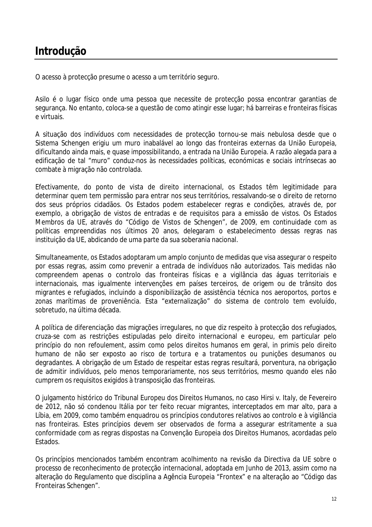## **Introdução**

O acesso à protecção presume o acesso a um território seguro.

Asilo é o lugar físico onde uma pessoa que necessite de protecção possa encontrar garantias de segurança. No entanto, coloca-se a questão de como atingir esse lugar; há barreiras e fronteiras físicas e virtuais.

A situação dos indivíduos com necessidades de protecção tornou-se mais nebulosa desde que o Sistema Schengen erigiu um muro inabalável ao longo das fronteiras externas da União Europeia, dificultando ainda mais, e quase impossibilitando, a entrada na União Europeia. A razão alegada para a edificação de tal "muro" conduz-nos às necessidades políticas, económicas e sociais intrínsecas ao combate à migração não controlada.

Efectivamente, do ponto de vista de direito internacional, os Estados têm legitimidade para determinar quem tem permissão para entrar nos seus territórios, ressalvando-se o direito de retorno dos seus próprios cidadãos. Os Estados podem estabelecer regras e condições, através de, por exemplo, a obrigação de vistos de entradas e de requisitos para a emissão de vistos. Os Estados Membros da UE, através do "Código de Vistos de Schengen", de 2009, em continuidade com as políticas empreendidas nos últimos 20 anos, delegaram o estabelecimento dessas regras nas instituição da UE, abdicando de uma parte da sua soberania nacional.

Simultaneamente, os Estados adoptaram um amplo conjunto de medidas que visa assegurar o respeito por essas regras, assim como prevenir a entrada de indivíduos não autorizados. Tais medidas não compreendem apenas o controlo das fronteiras físicas e a vigilância das águas territoriais e internacionais, mas igualmente intervenções em países terceiros, de origem ou de trânsito dos migrantes e refugiados, incluindo a disponibilização de assistência técnica nos aeroportos, portos e zonas marítimas de proveniência. Esta "externalização" do sistema de controlo tem evoluído, sobretudo, na última década.

A política de diferenciação das migrações irregulares, no que diz respeito à protecção dos refugiados, cruza-se com as restrições estipuladas pelo direito internacional e europeu, em particular pelo princípio do *non refoulement*, assim como pelos direitos humanos em geral, *in primis* pelo direito humano de não ser exposto ao risco de tortura e a tratamentos ou punições desumanos ou degradantes. A obrigação de um Estado de respeitar estas regras resultará, porventura, na obrigação de admitir indivíduos, pelo menos temporariamente, nos seus territórios, mesmo quando eles não cumprem os requisitos exigidos à transposição das fronteiras.

O julgamento histórico do Tribunal Europeu dos Direitos Humanos, no caso *Hirsi v. Italy*, de Fevereiro de 2012, não só condenou Itália por ter feito recuar migrantes, interceptados em mar alto, para a Líbia, em 2009, como também enquadrou os princípios condutores relativos ao controlo e à vigilância nas fronteiras. Estes princípios devem ser observados de forma a assegurar estritamente a sua conformidade com as regras dispostas na Convenção Europeia dos Direitos Humanos, acordadas pelo Estados.

Os princípios mencionados também encontram acolhimento na revisão da Directiva da UE sobre o processo de reconhecimento de protecção internacional, adoptada em Junho de 2013, assim como na alteração do Regulamento que disciplina a Agência Europeia "Frontex" e na alteração ao "Código das Fronteiras Schengen".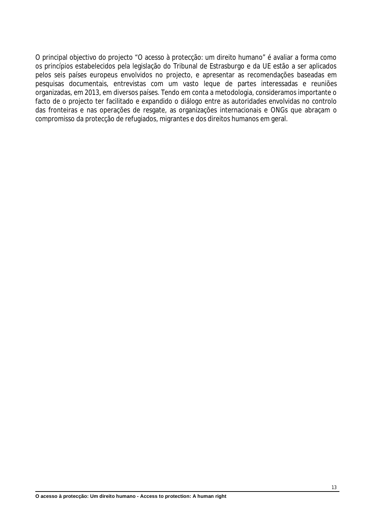O principal objectivo do projecto "O acesso à protecção: um direito humano" é avaliar a forma como os princípios estabelecidos pela legislação do Tribunal de Estrasburgo e da UE estão a ser aplicados pelos seis países europeus envolvidos no projecto, e apresentar as recomendações baseadas em pesquisas documentais, entrevistas com um vasto leque de partes interessadas e reuniões organizadas, em 2013, em diversos países. Tendo em conta a metodologia, consideramos importante o facto de o projecto ter facilitado e expandido o diálogo entre as autoridades envolvidas no controlo das fronteiras e nas operações de resgate, as organizações internacionais e ONGs que abraçam o compromisso da protecção de refugiados, migrantes e dos direitos humanos em geral.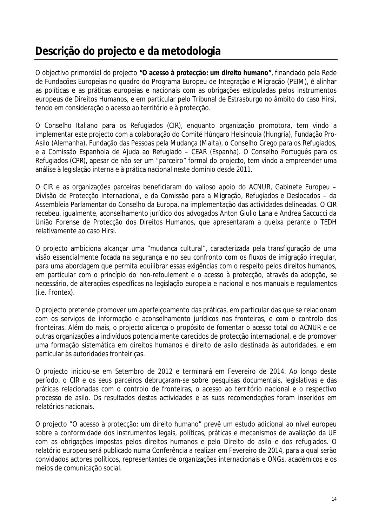## **Descrição do projecto e da metodologia**

O objectivo primordial do projecto **"O acesso à protecção: um direito humano"**, financiado pela Rede de Fundações Europeias no quadro do Programa Europeu de Integração e Migração (PEIM), é alinhar as políticas e as práticas europeias e nacionais com as obrigações estipuladas pelos instrumentos europeus de Direitos Humanos, e em particular pelo Tribunal de Estrasburgo no âmbito do caso Hirsi, tendo em consideração o acesso ao território e à protecção.

O Conselho Italiano para os Refugiados (CIR), enquanto organização promotora, tem vindo a implementar este projecto com a colaboração do Comité Húngaro Helsínquia (Hungria), Fundação Pro-Asilo (Alemanha), Fundação das Pessoas pela Mudança (Malta), o Conselho Grego para os Refugiados, e a Comissão Espanhola de Ajuda ao Refugiado – CEAR (Espanha). O Conselho Português para os Refugiados (CPR), apesar de não ser um "parceiro" formal do projecto, tem vindo a empreender uma análise à legislação interna e à prática nacional neste domínio desde 2011.

O CIR e as organizações parceiras beneficiaram do valioso apoio do ACNUR, Gabinete Europeu – Divisão de Protecção Internacional, e da Comissão para a Migração, Refugiados e Deslocados – da Assembleia Parlamentar do Conselho da Europa, na implementação das actividades delineadas. O CIR recebeu, igualmente, aconselhamento jurídico dos advogados Anton Giulio Lana e Andrea Saccucci da União Forense de Protecção dos Direitos Humanos, que apresentaram a queixa perante o TEDH relativamente ao caso Hirsi.

O projecto ambiciona alcançar uma "mudança cultural", caracterizada pela transfiguração de uma visão essencialmente focada na segurança e no seu confronto com os fluxos de imigração irregular, para uma abordagem que permita equilibrar essas exigências com o respeito pelos direitos humanos, em particular com o princípio do *non-refoulement* e o acesso à protecção, através da adopção, se necessário, de alterações específicas na legislação europeia e nacional e nos manuais e regulamentos (i.e. Frontex).

O projecto pretende promover um aperfeiçoamento das práticas, em particular das que se relacionam com os serviços de informação e aconselhamento jurídicos nas fronteiras, e com o controlo das fronteiras. Além do mais, o projecto alicerça o propósito de fomentar o acesso total do ACNUR e de outras organizações a indivíduos potencialmente carecidos de protecção internacional, e de promover uma formação sistemática em direitos humanos e direito de asilo destinada às autoridades, e em particular às autoridades fronteiriças.

O projecto iniciou-se em Setembro de 2012 e terminará em Fevereiro de 2014. Ao longo deste período, o CIR e os seus parceiros debruçaram-se sobre pesquisas documentais, legislativas e das práticas relacionadas com o controlo de fronteiras, o acesso ao território nacional e o respectivo processo de asilo. Os resultados destas actividades e as suas recomendações foram inseridos em relatórios nacionais.

O projecto "O acesso à protecção: um direito humano" prevê um estudo adicional ao nível europeu sobre a conformidade dos instrumentos legais, políticas, práticas e mecanismos de avaliação da UE com as obrigações impostas pelos direitos humanos e pelo Direito do asilo e dos refugiados. O relatório europeu será publicado numa Conferência a realizar em Fevereiro de 2014, para a qual serão convidados actores políticos, representantes de organizações internacionais e ONGs, académicos e os meios de comunicação social.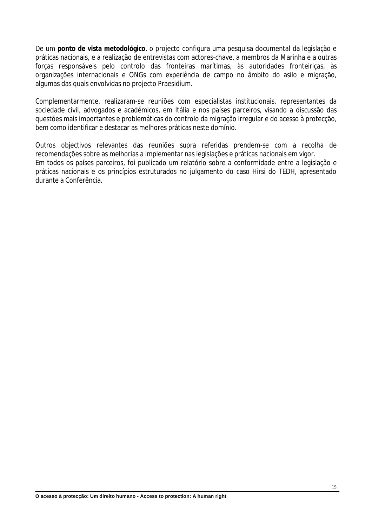De um **ponto de vista metodológico**, o projecto configura uma pesquisa documental da legislação e práticas nacionais, e a realização de entrevistas com actores-chave, a membros da Marinha e a outras forças responsáveis pelo controlo das fronteiras marítimas, às autoridades fronteiriças, às organizações internacionais e ONGs com experiência de campo no âmbito do asilo e migração, algumas das quais envolvidas no projecto Praesidium.

Complementarmente, realizaram-se reuniões com especialistas institucionais, representantes da sociedade civil, advogados e académicos, em Itália e nos países parceiros, visando a discussão das questões mais importantes e problemáticas do controlo da migração irregular e do acesso à protecção, bem como identificar e destacar as melhores práticas neste domínio.

Outros objectivos relevantes das reuniões supra referidas prendem-se com a recolha de recomendações sobre as melhorias a implementar nas legislações e práticas nacionais em vigor. Em todos os países parceiros, foi publicado um relatório sobre a conformidade entre a legislação e práticas nacionais e os princípios estruturados no julgamento do caso Hirsi do TEDH, apresentado durante a Conferência.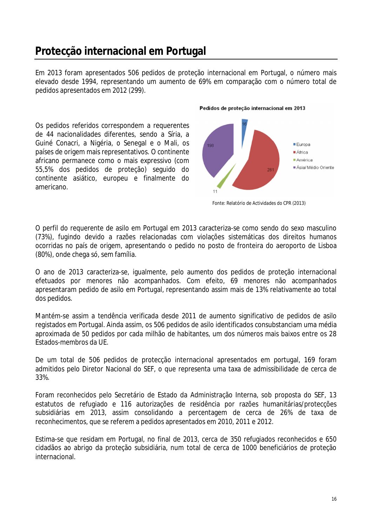## **Protecção internacional em Portugal**

Em 2013 foram apresentados 506 pedidos de proteção internacional em Portugal, o número mais elevado desde 1994, representando um aumento de 69% em comparação com o número total de pedidos apresentados em 2012 (299).

Os pedidos referidos correspondem a requerentes de 44 nacionalidades diferentes, sendo a Síria, a Guiné Conacri, a Nigéria, o Senegal e o Mali, os países de origem mais representativos. O continente africano permanece como o mais expressivo (com 55,5% dos pedidos de proteção) seguido do continente asiático, europeu e finalmente do americano.

#### Pedidos de proteção internacional em 2013



Fonte: Relatório de Actividades do CPR (2013)

O perfil do requerente de asilo em Portugal em 2013 caracteriza-se como sendo do sexo masculino (73%), fugindo devido a razões relacionadas com violações sistemáticas dos direitos humanos ocorridas no país de origem, apresentando o pedido no posto de fronteira do aeroporto de Lisboa (80%), onde chega só, sem família.

O ano de 2013 caracteriza-se, igualmente, pelo aumento dos pedidos de proteção internacional efetuados por menores não acompanhados. Com efeito, 69 menores não acompanhados apresentaram pedido de asilo em Portugal, representando assim mais de 13% relativamente ao total dos pedidos.

Mantém-se assim a tendência verificada desde 2011 de aumento significativo de pedidos de asilo registados em Portugal. Ainda assim, os 506 pedidos de asilo identificados consubstanciam uma média aproximada de 50 pedidos por cada milhão de habitantes, um dos números mais baixos entre os 28 Estados-membros da UE.

De um total de 506 pedidos de protecção internacional apresentados em portugal, 169 foram admitidos pelo Diretor Nacional do SEF, o que representa uma taxa de admissibilidade de cerca de 33%.

Foram reconhecidos pelo Secretário de Estado da Administração Interna, sob proposta do SEF, 13 estatutos de refugiado e 116 autorizações de residência por razões humanitárias/protecções subsidiárias em 2013, assim consolidando a percentagem de cerca de 26% de taxa de reconhecimentos, que se referem a pedidos apresentados em 2010, 2011 e 2012.

Estima-se que residam em Portugal, no final de 2013, cerca de 350 refugiados reconhecidos e 650 cidadãos ao abrigo da proteção subsidiária, num total de cerca de 1000 beneficiários de proteção internacional.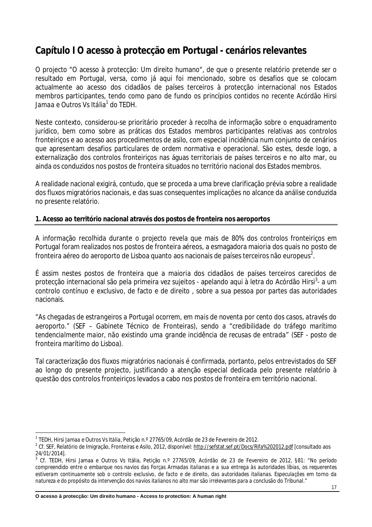## **Capítulo I O acesso à protecção em Portugal - cenários relevantes**

O projecto "O acesso à protecção: Um direito humano", de que o presente relatório pretende ser o resultado em Portugal, versa, como já aqui foi mencionado, sobre os desafios que se colocam actualmente ao acesso dos cidadãos de países terceiros à protecção internacional nos Estados membros participantes, tendo como pano de fundo os princípios contidos no recente Acórdão *Hirsi Jamaa e Outros Vs Itália*<sup>1</sup> do TEDH.

Neste contexto, considerou-se prioritário proceder à recolha de informação sobre o enquadramento jurídico, bem como sobre as práticas dos Estados membros participantes relativas aos controlos fronteiriços e ao acesso aos procedimentos de asilo, com especial incidência num conjunto de cenários que apresentam desafios particulares de ordem normativa e operacional. São estes, desde logo, a externalização dos controlos fronteiriços nas águas territoriais de países terceiros e no alto mar, ou ainda os conduzidos nos postos de fronteira situados no território nacional dos Estados membros.

A realidade nacional exigirá, contudo, que se proceda a uma breve clarificação prévia sobre a realidade dos fluxos migratórios nacionais, e das suas consequentes implicações no alcance da análise conduzida no presente relatório.

#### **1. Acesso ao território nacional através dos postos de fronteira nos aeroportos**

A informação recolhida durante o projecto revela que mais de 80% dos controlos fronteiriços em Portugal foram realizados nos postos de fronteira aéreos, a esmagadora maioria dos quais no posto de fronteira aéreo do aeroporto de Lisboa quanto aos nacionais de países terceiros não europeus $^2$ .

É assim nestes postos de fronteira que a maioria dos cidadãos de países terceiros carecidos de protecção internacional são pela primeira vez sujeitos - apelando aqui à letra do Acórdão *Hirsi*<sup>3</sup>- a um controlo contínuo e exclusivo, de facto e de direito , sobre a sua pessoa por partes das autoridades nacionais.

"A*s chegadas de estrangeiros a Portugal ocorrem, em mais de noventa por cento dos casos, através do aeroporto."* (SEF – Gabinete Técnico de Fronteiras), sendo a *"credibilidade do tráfego marítimo tendencialmente maior, não existindo uma grande incidência de recusas de entrada"* (SEF - posto de fronteira marítimo do Lisboa).

Tal caracterização dos fluxos migratórios nacionais é confirmada, portanto, pelos entrevistados do SEF ao longo do presente projecto, justificando a atenção especial dedicada pelo presente relatório à questão dos controlos fronteiriços levados a cabo nos postos de fronteira em território nacional.

 $\overline{a}$ 

<sup>1</sup> TEDH, *Hirsi Jamaa e Outros Vs Itália,* Petição n.º 27765/09, Acórdão de 23 de Fevereiro de 2012.

<sup>&</sup>lt;sup>2</sup> Cf. SEF, Relatório de Imigração, Fronteiras e Asilo, 2012, disponível: <u>http://sefstat.sef.pt/Docs/Rifa%202012.pdf</u> [consultado aos 24/01/2014].

<sup>3</sup> Cf. TEDH, Hirsi Jamaa e Outros Vs Itália, Petição n.º 27765/09, Acórdão de 23 de Fevereiro de 2012, §81: *"No período compreendido entre o embarque nos navios das Forças Armadas italianas e a sua entrega às autoridades líbias, os requerentes estiveram continuamente sob o controlo exclusivo, de facto e de direito, das autoridades italianas. Especulações em torno da natureza e do propósito da intervenção dos navios italianos no alto mar são irrelevantes para a conclusão do Tribunal."*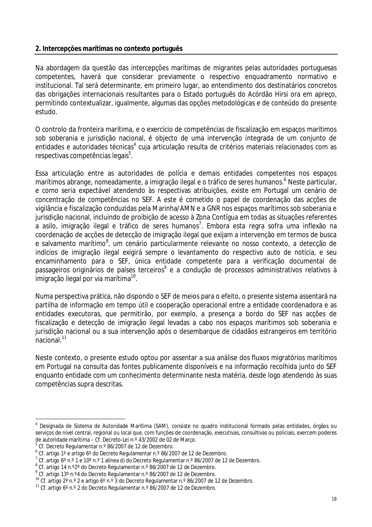#### **2. Intercepções marítimas no contexto português**

Na abordagem da questão das intercepções marítimas de migrantes pelas autoridades portuguesas competentes, haverá que considerar previamente o respectivo enquadramento normativo e institucional. Tal será determinante, em primeiro lugar, ao entendimento dos destinatários concretos das obrigações internacionais resultantes para o Estado português do Acórdão *Hirsi* ora em apreço, permitindo contextualizar, igualmente, algumas das opções metodológicas e de conteúdo do presente estudo.

O controlo da fronteira marítima, e o exercício de competências de fiscalização em espaços marítimos sob soberania e jurisdição nacional, é objecto de uma intervenção integrada de um conjunto de entidades e autoridades técnicas<sup>4</sup> cuja articulação resulta de critérios materiais relacionados com as respectivas competências legais<sup>5</sup>.

Essa articulação entre as autoridades de polícia e demais entidades competentes nos espaços marítimos abrange, nomeadamente, a imigração ilegal e o tráfico de seres humanos. 6 Neste particular, e como seria expectável atendendo às respectivas atribuições, existe em Portugal um cenário de concentração de competências no SEF. A este é cometido o papel de coordenação das acções de vigilância e fiscalização conduzidas pela Marinha/AMN e a GNR nos espaços marítimos sob soberania e jurisdição nacional, incluindo de proibição de acesso à Zona Contígua em todas as situações referentes a asilo, imigração ilegal e tráfico de seres humanos<sup>7</sup>. Embora esta regra sofra uma inflexão na coordenação de acções de detecção de imigração ilegal que exijam a intervenção em termos de busca e salvamento marítimo<sup>8</sup>, um cenário particularmente relevante no nosso contexto, a detecção de indícios de imigração ilegal exigirá sempre o levantamento do respectivo auto de notícia, e seu encaminhamento para o SEF, única entidade competente para a verificação documental de passageiros originários de países terceiros<sup>9</sup> e a condução de processos administrativos relativos à imigração ilegal por via marítima<sup>10</sup>.

Numa perspectiva prática, não dispondo o SEF de meios para o efeito, o presente sistema assentará na partilha de informação em tempo útil e cooperação operacional entre a entidade coordenadora e as entidades executoras, que permitirão, por exemplo, a presença a bordo do SEF nas acções de fiscalização e detecção de imigração ilegal levadas a cabo nos espaços marítimos sob soberania e jurisdição nacional ou a sua intervenção após o desembarque de cidadãos estrangeiros em território nacional.<sup>11</sup>

Neste contexto, o presente estudo optou por assentar a sua análise dos fluxos migratórios marítimos em Portugal na consulta das fontes publicamente disponíveis e na informação recolhida junto do SEF enquanto entidade com um conhecimento determinante nesta matéria, desde logo atendendo às suas competências supra descritas.

 $\overline{a}$ 4 Designada de Sistema de Autoridade Marítima (SAM), consiste no quadro institucional formado pelas entidades, órgãos ou serviços de nível central, regional ou local que, com funções de coordenação, executivas, consultivas ou policiais, exercem poderes de autoridade marítima – Cf. Decreto-Lei n-º 43/2002 de 02 de Março.

<sup>&</sup>lt;sup>5</sup> Cf. Decreto Regulamentar n.º 86/2007 de 12 de Dezembro.

 $^6$  Cf. artigo 1° e artigo 6° do Decreto Regulamentar n.º 86/2007 de 12 de Dezembro.

<sup>&</sup>lt;sup>7</sup> Cf. artigo 6º n.º 1 e 10º n.º 1 alínea d) do Decreto Regulamentar n.º 86/2007 de 12 de Dezembro.<br>ª Cf. artigo 14 n.º2º do Decreto Regulamentar n.º 86/2007 de 12 de Dezembro.

<sup>9</sup> Cf. artigo 13º n.º4 do Decreto Regulamentar n.º 86/2007 de 12 de Dezembro.

<sup>10</sup> Cf. artigo 2ª n.º 2 e artigo 6º n.º 3 do Decreto Regulamentar n.º 86/2007 de 12 de Dezembro.

 $11$  Cf. artigo 6 $^{\circ}$  n.  $^{\circ}$  2 do Decreto Regulamentar n.  $^{\circ}$  86/2007 de 12 de Dezembro.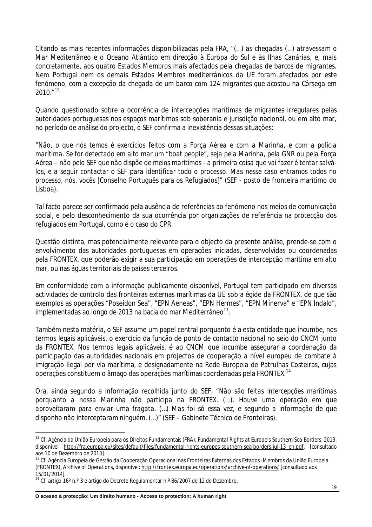Citando as mais recentes informações disponibilizadas pela FRA, *"(…) as chegadas (…) atravessam o Mar Mediterrâneo e o Oceano Atlântico em direcção à Europa do Sul e às Ilhas Canárias, e, mais concretamente, aos quatro Estados Membros mais afectados pela chegadas de barcos de migrantes. Nem Portugal nem os demais Estados Membros mediterrânicos da UE foram afectados por este fenómeno, com a excepção da chegada de um barco com 124 migrantes que acostou na Córsega em 2010."<sup>12</sup>*

Quando questionado sobre a ocorrência de intercepções marítimas de migrantes irregulares pelas autoridades portuguesas nos espaços marítimos sob soberania e jurisdição nacional, ou em alto mar, no período de análise do projecto, o SEF confirma a inexistência dessas situações:

*"Não, o que nós temos é exercícios feitos com a Força Aérea e com a Marinha, e com a polícia marítima. Se for detectado em alto mar um "boat people", seja pela Marinha, pela GNR ou pela Força Aérea – não pelo SEF que não dispõe de meios marítimos - a primeira coisa que vai fazer é tentar salválos, e a seguir contactar o SEF para identificar todo o processo. Mas nesse caso entramos todos no processo, nós, vocês* [Conselho Português para os Refugiados]*"* (SEF - posto de fronteira marítimo do Lisboa).

Tal facto parece ser confirmado pela ausência de referências ao fenómeno nos meios de comunicação social, e pelo desconhecimento da sua ocorrência por organizações de referência na protecção dos refugiados em Portugal, como é o caso do CPR.

Questão distinta, mas potencialmente relevante para o objecto da presente análise, prende-se com o envolvimento das autoridades portuguesas em operações iniciadas, desenvolvidas ou coordenadas pela FRONTEX, que poderão exigir a sua participação em operações de intercepção marítima em alto mar, ou nas águas territoriais de países terceiros.

Em conformidade com a informação publicamente disponível, Portugal tem participado em diversas actividades de controlo das fronteiras externas marítimas da UE sob a égide da FRONTEX, de que são exemplos as operações "Poseidon Sea", "EPN Aeneas", "EPN Hermes", "EPN Minerva" e "EPN Indalo", implementadas ao longo de 2013 na bacia do mar Mediterrâneo $^{\text{13}}$ .

Também nesta matéria, o SEF assume um papel central porquanto é a esta entidade que incumbe, nos termos legais aplicáveis, o exercício da função de ponto de contacto nacional no seio do CNCM junto da FRONTEX. Nos termos legais aplicáveis, é ao CNCM que incumbe assegurar a coordenação da participação das autoridades nacionais em projectos de cooperação a nível europeu de combate à imigração ilegal por via marítima, e designadamente na Rede Europeia de Patrulhas Costeiras, cujas operações constituem o âmago das operações marítimas coordenadas pela FRONTEX.<sup>14</sup>

Ora, ainda segundo a informação recolhida junto do SEF, "*Não são feitas intercepções marítimas porquanto a nossa Marinha não participa na FRONTEX. (…). Houve uma operação em que aproveitaram para enviar uma fragata. (…) Mas foi só essa vez, e segundo a informação de que disponho não interceptaram ninguém. (…)"* (SEF – Gabinete Técnico de Fronteiras).

 $\overline{a}$ 

<sup>&</sup>lt;sup>12</sup> Cf. Agência da União Europeia para os Direitos Fundamentais (FRA), *Fundamental Rights at Europe's Southern Sea Borders, 2013,* disponível http://fra.europa.eu/sites/default/files/fundamental-rights-europes-southern-sea-borders-jul-13\_en.pdf, [consultado aos 10 de Dezembro de 2013].

<sup>13</sup> Cf. Agência Europeia de Gestão da Cooperação Operacional nas Fronteiras Externas dos Estados -Membros da União Europeia (FRONTEX), Archive of Operations, disponível: http://frontex.europa.eu/operations/archive-of-operations/ [consultado aos 15/01/2014].

<sup>&</sup>lt;sup>14</sup> Cf. artigo 16° n.º 3 e artigo do Decreto Regulamentar n.º 86/2007 de 12 de Dezembro.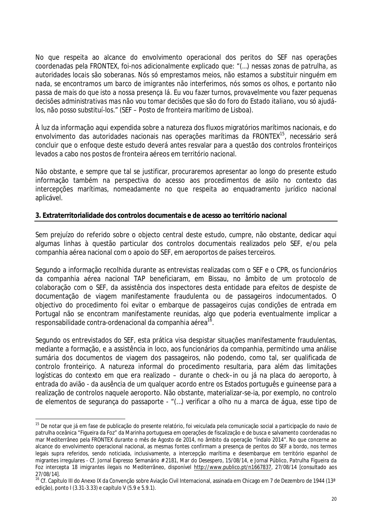No que respeita ao alcance do envolvimento operacional dos peritos do SEF nas operações coordenadas pela FRONTEX, foi-nos adicionalmente explicado que: "*(…) nessas zonas de patrulha, as autoridades locais são soberanas. Nós só emprestamos meios, não estamos a substituir ninguém em nada, se encontramos um barco de imigrantes não interferimos, nós somos os olhos, e portanto não passa de mais do que isto a nossa presença lá. Eu vou fazer turnos, provavelmente vou fazer pequenas decisões administrativas mas não vou tomar decisões que são do foro do Estado italiano, vou só ajudálos, não posso substituí-los."* (SEF – Posto de fronteira marítimo de Lisboa).

À luz da informação aqui expendida sobre a natureza dos fluxos migratórios marítimos nacionais, e do envolvimento das autoridades nacionais nas operações marítimas da FRONTEX<sup>15</sup>, necessário será concluir que o enfoque deste estudo deverá antes resvalar para a questão dos controlos fronteiriços levados a cabo nos postos de fronteira aéreos em território nacional.

Não obstante, e sempre que tal se justificar, procuraremos apresentar ao longo do presente estudo informação também na perspectiva do acesso aos procedimentos de asilo no contexto das intercepções marítimas, nomeadamente no que respeita ao enquadramento jurídico nacional aplicável.

#### **3. Extraterritorialidade dos controlos documentais e de acesso ao território nacional**

Sem prejuízo do referido sobre o objecto central deste estudo, cumpre, não obstante, dedicar aqui algumas linhas à questão particular dos controlos documentais realizados pelo SEF, e/ou pela companhia aérea nacional com o apoio do SEF, em aeroportos de países terceiros.

Segundo a informação recolhida durante as entrevistas realizadas com o SEF e o CPR, os funcionários da companhia aérea nacional TAP beneficiaram, em Bissau, no âmbito de um protocolo de colaboração com o SEF, da assistência dos inspectores desta entidade para efeitos de despiste de documentação de viagem manifestamente fraudulenta ou de passageiros indocumentados. O objectivo do procedimento foi evitar o embarque de passageiros cujas condições de entrada em Portugal não se encontram manifestamente reunidas, algo que poderia eventualmente implicar a responsabilidade contra-ordenacional da companhia aérea $^{\rm 16}$ .

Segundo os entrevistados do SEF, esta prática visa despistar situações manifestamente fraudulentas, mediante a formação, e a assistência *in loco,* aos funcionários da companhia, permitindo uma análise sumária dos documentos de viagem dos passageiros, não podendo, como tal, ser qualificada de controlo fronteiriço. A natureza informal do procedimento resultaria, para além das limitações logísticas do contexto em que era realizado – durante o *check–in* ou já na placa do aeroporto, à entrada do avião - da ausência de um qualquer acordo entre os Estados português e guineense para a realização de controlos naquele aeroporto. Não obstante, materializar-se-ia, por exemplo, no controlo de elementos de segurança do passaporte - "(…) *verificar a olho nu a marca de água, esse tipo de* 

 $\overline{a}$ <sup>15</sup> De notar que já em fase de publicação do presente relatório, foi veiculada pela comunicação social a participação do navio de patrulha oceânica "Figueira da Foz" da Marinha portuguesa em operações de fiscalização e de busca e salvamento coordenadas no mar Mediterrâneo pela FRONTEX durante o mês de Agosto de 2014, no âmbito da operação "Índalo 2014". No que concerne ao alcance do envolvimento operacional nacional, as mesmas fontes confirmam a presença de peritos do SEF a bordo, nos termos legais supra referidos, sendo noticiada, inclusivamente, a intercepção marítima e desembarque em território espanhol de migrantes irregulares - Cf. Jornal Expresso Semanário # 2181, *Mar do Desespero*, 15/08/14, e Jornal Público, *Patrulha Figueira da Foz intercepta 18 imigrantes ilegais no Mediterrâneo*, disponível http://www.publico.pt/n1667837, 27/08/14 [consultado aos 27/08/14].

<sup>&</sup>lt;sup>16</sup> Cf. Capítulo III do Anexo IX da Convenção sobre Aviação Civil Internacional, assinada em Chicago em 7 de Dezembro de 1944 (13<sup>ª</sup> edição), ponto I (3.31-3.33) e capítulo V (5.9 e 5.9.1).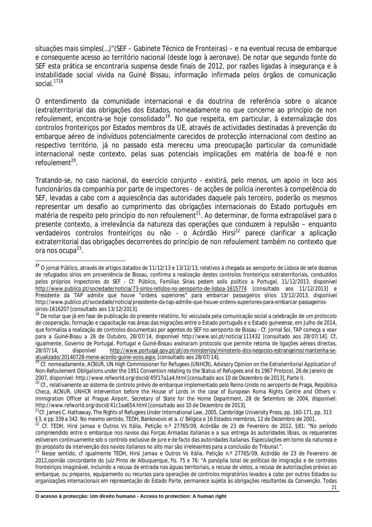*situações mais simples(…)"*(SEF – Gabinete Técnico de Fronteiras) – e na eventual recusa de embarque e consequente acesso ao território nacional (desde logo à aeronave). De notar que segundo fonte do SEF esta prática se encontraria suspensa desde finais de 2012, por razões ligadas à insegurança e à instabilidade social vivida na Guiné Bissau, informação infirmada pelos órgãos de comunicação social.<sup>1718</sup>

O entendimento da comunidade internacional e da doutrina de referência sobre o alcance (extra)territorial das obrigações dos Estados, nomeadamente no que concerne ao *princípio de non refoulement,* encontra-se hoje consolidado*<sup>19</sup>*. No que respeita, em particular, à externalização dos controlos fronteiriços por Estados membros da UE, através de actividades destinadas à prevenção do embarque aéreo de indivíduos potencialmente carecidos de protecção internacional com destino ao respectivo território, já no passado esta mereceu uma preocupação particular da comunidade internacional neste contexto, pelas suas potenciais implicações em matéria de boa-fé e *non refoulement<sup>20</sup>* .

Tratando-se, no caso nacional, do exercício conjunto - existirá, pelo menos, um apoio *in loco* aos funcionários da companhia por parte de inspectores - de acções de polícia inerentes à competência do SEF, levadas a cabo com a aquiescência das autoridades daquele país terceiro, poderão os mesmos representar um desafio ao cumprimento das obrigações internacionais do Estado português em matéria de respeito pelo princípio do *non refoulement<sup>21</sup>.* Ao determinar, de forma extrapolável para o presente contexto, a irrelevância da natureza das operações que conduzem à repulsão – enquanto verdadeiros controlos fronteiricos ou não - o Acórdão Hirsi<sup>22</sup> parece clarificar a aplicação extraterritorial das obrigações decorrentes do princípio de *non refoulement* também no contexto que ora nos ocupa<sup>23</sup>.

 $\overline{1}$ **<sup>17</sup>** O jornal Público, através de artigos datados de 11/12/13 e 13/12/13, relativos à chegada ao aeroporto de Lisboa de sete dezenas de refugiados sírios em proveniência de Bissau, confirma a realização destes controlos fronteiriços extraterritoriais, conduzidos pelos próprios inspectores do SEF - Cf. Público, *Famílias Sírias pedem asilo político a Portugal*, 11/12/2013, disponível http://www.publico.pt/sociedade/noticia/73-sirios-retidos-no-aeroporto-de-lisboa-1615774 [consultado aos 11/12/2013] e *Presidente da TAP admite que houve "ordens superiores" para embarcar passageiros sírios* 13/12/2013, disponível http://www.publico.pt/sociedade/noticia/presidente-da-tap-admite-que-houve-ordens-superiores-para-embarcar-passageirossirios-1616207 [consultado aos 13/12/2013].

<sup>&</sup>lt;sup>18</sup> De notar que já em fase de publicação do presente relatório, foi veiculada pela comunicação social a celebração de um protocolo de cooperação, formação e capacitação nas áreas das migrações entre o Estado português e o Estado guineense, em Julho de 2014, que formaliza a realização de controlos documentais por agentes do SEF no aeroporto de Bissau - Cf. Jornal Sol, *TAP começa a voar para a Guiné-Bisau a 26 de Outubro*, 28/07/14, disponível http://www.sol.pt/noticia/111432 [consultado aos 28/07/14]. Cf, igualmente, Governo de Portugal, *Portugal e Guiné-Bissau assinaram protocolo que permite retoma de ligações aéreas directas,*  28/07/14, disponível http://www.portugal.gov.pt/pt/os-ministerios/ministerio-dos-negocios-estrangeiros/mantenha-seatualizado/20140728-mene-acordo-guine-voos.aspx*,* [consultado aos 28/07/14].

<sup>19</sup> Cf. nomeadamente, ACNUR, UN High Commissioner for Refugees (UNHCR), *Advisory Opinion on the Extraterritorial Application of Non-Refoulement Obligations under the 1951 Convention relating to the Status of Refugees and its 1967 Protocol*, 26 de Janeiro de 2007, disponível: http://www.refworld.org/docid/45f17a1a4.html [consultado aos 10 de Dezembro de 2013], Parte II.

<sup>&</sup>lt;sup>20</sup> Cf., relativamente ao sistema de controlo prévio de embarque implementado pelo Reino-Unido no aeroporto de Praga, República Checa, ACNUR, *UNHCR intervention before the House of Lords in the case of European Roma Rights Centre and Others v. Immigration Officer at Prague Airport, Secretary of State for the Home Department*, 28 de Setembro de 2004, disponível: http://www.refworld.org/docid/41c1aa654.html [consultado aos 10 de Dezembro de 2013].

<sup>&</sup>lt;sup>21</sup>Cf. James C. Hathaway, The Rights of Refugees Under International Law, 2005, Cambridge University Press, pp. 160-171, pp. 313 §3, e pp 339 a 342. No mesmo sentido, TEDH, Bankovovic et a. c/ Bélgica e 16 Estados membros, 12 de Dezembro de 2001.<br><sup>22</sup> Cf. TEDH, Hirri, James a Quitara M. W.W. Dr. W. Tennes and Tennes.

<sup>22</sup> Cf. TEDH, *Hirsi Jamaa e Outros Vs Itália,* Petição n.º 27765/09, Acórdão de 23 de Fevereiro de 2012, §81: *"No período compreendido entre o embarque nos navios das Forças Armadas italianas e a sua entrega às autoridades líbias, os requerentes estiveram continuamente sob o controlo exclusive de jure e de facto das autoridades italianas. Especulações em torno da natureza e do propósito da intervenção dos navios italianos no alto mar são irrelevantes para a conclusão do Tribunal.".*

<sup>23</sup> Nesse sentido, cf igualmente TEDH, *Hirsi Jamaa e Outros Vs Itália,* Petição n.º 27765/09, Acórdão de 23 de Fevereiro de 2012,opinião concordante do Juíz Pinto de Albuquerque, fls. 75 e 76: "*A panóplia total de políticas de imigração e de controlos fronteiriços imaginável, incluindo a recusa de entrada nas águas territoriais, a recusa de vistos, a recusa de autorizações prévias ao embarque, ou preparos, equipamento ou recursos para operações de controlos migratórios levados a cabo por outros Estados ou organizações internacionais em representação do Estado Parte, permanece sujeita às obrigações resultantes da Convenção. Todas*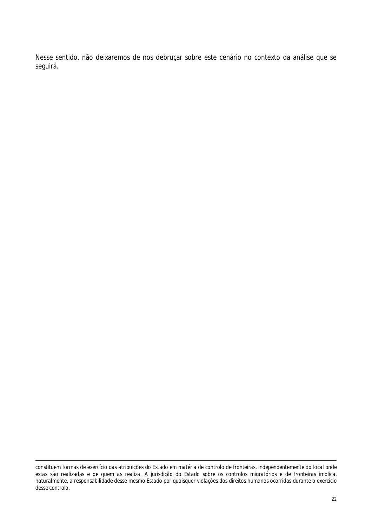Nesse sentido, não deixaremos de nos debruçar sobre este cenário no contexto da análise que se seguirá.

 $\overline{a}$ *constituem formas de exercício das atribuições do Estado em matéria de controlo de fronteiras, independentemente do local onde estas são realizadas e de quem as realiza. A jurisdição do Estado sobre os controlos migratórios e de fronteiras implica, naturalmente, a responsabilidade desse mesmo Estado por quaisquer violações dos direitos humanos ocorridas durante o exercício desse controlo.*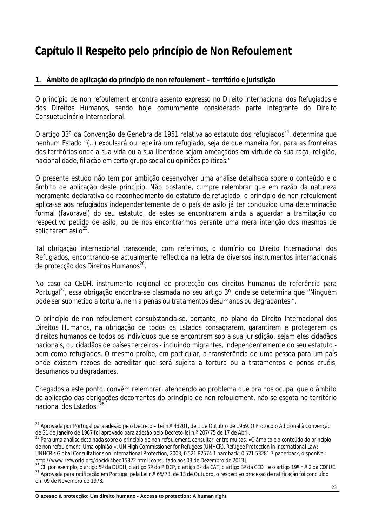## **Capítulo II Respeito pelo princípio de** *Non Refoulement*

#### **1. Âmbito de aplicação do princípio de** *non refoulement* **– território e jurisdição**

O princípio de *non refoulement* encontra assento expresso no Direito Internacional dos Refugiados e dos Direitos Humanos, sendo hoje comummente considerado parte integrante do Direito Consuetudinário Internacional.

O artigo 33º da Convenção de Genebra de 1951 relativa ao estatuto dos refugiados $^{24}$ , determina que nenhum Estado "(…) *expulsará ou repelirá um refugiado, seja de que maneira for, para as fronteiras dos territórios onde a sua vida ou a sua liberdade sejam ameaçados em virtude da sua raça, religião, nacionalidade, filiação em certo grupo social ou opiniões políticas."*

O presente estudo não tem por ambição desenvolver uma análise detalhada sobre o conteúdo e o âmbito de aplicação deste princípio. Não obstante, cumpre relembrar que em razão da natureza meramente declarativa do reconhecimento do estatuto de refugiado, o princípio de *non refoulement* aplica-se aos refugiados independentemente de o país de asilo já ter conduzido uma determinação formal (favorável) do seu estatuto, de estes se encontrarem ainda a aguardar a tramitação do respectivo pedido de asilo, ou de nos encontrarmos perante uma mera intenção dos mesmos de solicitarem asilo $^{25}$ .

Tal obrigação internacional transcende, com referimos, o domínio do Direito Internacional dos Refugiados, encontrando-se actualmente reflectida na letra de diversos instrumentos internacionais de protecção dos Direitos Humanos<sup>26</sup>.

No caso da CEDH, instrumento regional de protecção dos direitos humanos de referência para Portugal<sup>27</sup>, essa obrigação encontra-se plasmada no seu artigo 3°, onde se determina que *"Ninguém pode ser submetido a tortura, nem a penas ou tratamentos desumanos ou degradantes.".*

O princípio de *non refoulement* consubstancia-se, portanto, no plano do Direito Internacional dos Direitos Humanos, na obrigação de todos os Estados consagrarem, garantirem e protegerem os direitos humanos de todos os indivíduos que se encontrem sob a sua jurisdição, sejam eles cidadãos nacionais, ou cidadãos de países terceiros - incluindo migrantes, independentemente do seu estatuto bem como refugiados. O mesmo proíbe, em particular, a transferência de uma pessoa para um país onde existem razões de acreditar que será sujeita a tortura ou a tratamentos e penas cruéis, desumanos ou degradantes.

Chegados a este ponto, convém relembrar, atendendo ao problema que ora nos ocupa, que o âmbito de aplicação das obrigações decorrentes do princípio *de non refoulement,* não se esgota no território nacional dos Estados. 28

 $\overline{\phantom{a}}$ <sup>24</sup> Aprovada por Portugal para adesão pelo Decreto – Lei n.º 43201, de 1 de Outubro de 1969. O Protocolo Adicional à Convenção de 31 de Janeiro de 1967 foi aprovado para adesão pelo Decreto-lei n.º 207/75 de 17 de Abril.

<sup>25</sup> Para uma análise detalhada sobre o princípio *de non refoulement*, consultar, entre muitos, «*O âmbito e o conteúdo do princípio de non refoulement, Uma opinião* », UN High Commissioner for Refugees (UNHCR), *Refugee Protection in International Law: UNHCR's Global Consultations on International Protection*, 2003, 0 521 82574 1 hardback; 0 521 53281 7 paperback, disponível: http://www.refworld.org/docid/4bed15822.html [consultado aos 03 de Dezembro de 2013].

<sup>&</sup>lt;sup>26</sup> Cf. por exemplo, o artigo 5° da DUDH, o artigo 7° do PIDCP, o artigo 3° da CAT, o artigo 3° da CEDH e o artigo 19° n.º 2 da CDFUE. <sup>27</sup> Aprovada para ratificação em Portugal pela Lei n.º 65/78, de 13 de Outubro, o respectivo processo de ratificação foi concluído em 09 de Novembro de 1978.

**O acesso à protecção: Um direito humano - Access to protection: A human right**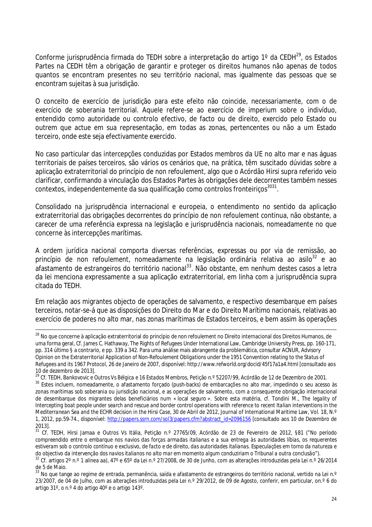Conforme jurisprudência firmada do TEDH sobre a interpretação do artigo 1° da CEDH<sup>29</sup>, os Estados Partes na CEDH têm a obrigação de garantir e proteger os direitos humanos não apenas de todos quantos se encontram presentes no seu território nacional, mas igualmente das pessoas que se encontram sujeitas à sua jurisdição.

O conceito de exercício de jurisdição para este efeito não coincide, necessariamente, com o de exercício de soberania territorial. Aquele refere-se ao exercício de *imperium* sobre o indivíduo, entendido como autoridade ou controlo efectivo, de facto ou de direito, exercido pelo Estado ou outrem que actue em sua representação, em todas as zonas, pertencentes ou não a um Estado terceiro, onde este seja efectivamente exercido.

No caso particular das intercepções conduzidas por Estados membros da UE no alto mar e nas águas territoriais de países terceiros, são vários os cenários que, na prática, têm suscitado dúvidas sobre a aplicação extraterritorial do princípio de *non refoulement,* algo que o Acórdão *Hirsi* supra referido veio clarificar, confirmando a vinculação dos Estados Partes às obrigações dele decorrentes também nesses contextos, independentemente da sua qualificação como controlos fronteiriços*<sup>3031</sup>* .

Consolidado na jurisprudência internacional e europeia, o entendimento no sentido da aplicação extraterritorial das obrigações decorrentes do princípio de *non refoulement* continua, não obstante, a carecer de uma referência expressa na legislação e jurisprudência nacionais, nomeadamente no que concerne às intercepções marítimas.

A ordem jurídica nacional comporta diversas referências, expressas ou por via de remissão, ao princípio de *non refoulement*, nomeadamente na legislação ordinária relativa ao asilo<sup>32</sup> e ao afastamento de estrangeiros do território nacional<sup>33</sup>. Não obstante, em nenhum destes casos a letra da lei menciona expressamente a sua aplicação extraterritorial, em linha com a jurisprudência supra citada do TEDH.

Em relação aos migrantes objecto de operações de salvamento, e respectivo desembarque em países terceiros, notar-se-á que as disposições do Direito do Mar e do Direito Marítimo nacionais, relativas ao exercício de poderes no alto mar, nas zonas marítimas de Estados terceiros, e bem assim às operações

 $\overline{\phantom{a}}$ 

<sup>28</sup> No que concerne à aplicação extraterritorial do princípio de *non refoulement* no Direito internacional dos Direitos Humanos, de uma forma geral, Cf. James C. Hathaway, The Rights of Refugees Under International Law, Cambridge University Press, pp. 160-171, pp. 314 último § a contrario, e pp. 339 a 342. Para uma análise mais abrangente da problemática, consultar ACNUR, *Advisory Opinion on the Extraterritorial Application of Non-Refoulement Obligations under the 1951 Convention relating to the Status of Refugees and its 1967 Protocol*, 26 de Janeiro de 2007, disponível: http://www.refworld.org/docid/45f17a1a4.html [consultado aos 10 de dezembro de 2013].

<sup>29</sup> Cf. TEDH, *Bankovovic e Outros Vs Bélgica e 16 Estados Membros,* Petição n.º 52207/99, Acórdão de 12 de Dezembro de 2001.

<sup>&</sup>lt;sup>30</sup> Estes incluem, nomeadamente, o afastamento forçado (push-backs) de embarcações no alto mar, impedindo o seu acesso às zonas marítimas sob soberania ou jurisdição nacional, e as operações de salvamento, com a consequente obrigação internacional de desembarque dos migrantes delas beneficiários num « local seguro ». Sobre esta matéria, cf. Tondini M., *The legality of Intercepting boat people under search and rescue and border control operations with reference to recent Italian interventions in the Mediterranean Sea and the ECHR decision in the Hirsi Case,* 30 de Abril de 2012, Journal of International Maritime Law, Vol. 18, N.º 1, 2012, pp.59-74., disponível: http://papers.ssrn.com/sol3/papers.cfm?abstract\_id=2096156 [consultado aos 10 de Dezembro de 2013].

<sup>31</sup> Cf. TEDH, Hirsi Jamaa e Outros Vs Itália, Petição n.º 27765/09, Acórdão de 23 de Fevereiro de 2012, §81 ("*No período compreendido entre o embarque nos navios das forças armadas italianas e a sua entrega às autoridades líbias, os requerentes estiveram sob o controlo contínuo e exclusivo, de facto e de direito, das autoridades italianas. Especulações em torno da natureza e do objectivo da intervenção dos navios italianos no alto mar em momento algum conduziriam o Tribunal a outra conclusão*").

<sup>32</sup> Cf. artigos 2º n.º 1 alínea aa), 47º e 65º da Lei n.º 27/2008, de 30 de Junho, com as alterações introduzidas pela Lei n.º 26/2014 de 5 de Maio.

<sup>33</sup> No que tange ao regime de entrada, permanência, saída e afastamento de estrangeiros do território nacional, vertido na Lei n.º 23/2007, de 04 de Julho, com as alterações introduzidas pela Lei n.º 29/2012, de 09 de Agosto, conferir, em particular, on.º 6 do artigo 31º, o n.º 4 do artigo 40º e o artigo 143º.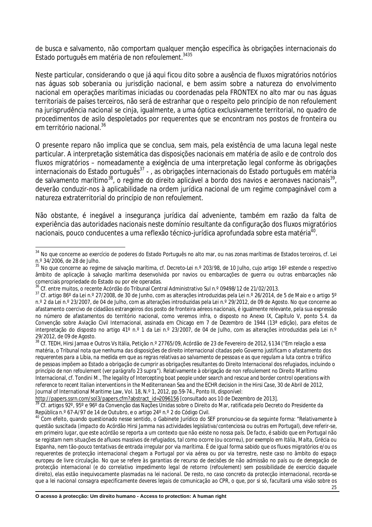de busca e salvamento, não comportam qualquer menção específica às obrigações internacionais do Estado português em matéria de *non refoulement*. 3435

Neste particular, considerando o que já aqui ficou dito sobre a ausência de fluxos migratórios notórios nas águas sob soberania ou jurisdição nacional, e bem assim sobre a natureza do envolvimento nacional em operações marítimas iniciadas ou coordenadas pela FRONTEX no alto mar ou nas águas territoriais de países terceiros, não será de estranhar que o respeito pelo princípio de *non refoulement* na jurisprudência nacional se cinja, igualmente, a uma óptica exclusivamente territorial, no quadro de procedimentos de asilo despoletados por requerentes que se encontram nos postos de fronteira ou em território nacional.<sup>36</sup>

O presente reparo não implica que se conclua, sem mais, pela existência de uma lacuna legal neste particular. A interpretação sistemática das disposições nacionais em matéria de asilo e de controlo dos fluxos migratórios – nomeadamente a exigência de uma interpretação legal conforme às obrigações internacionais do Estado português<sup>37</sup> - , as obrigações internacionais do Estado português em matéria de salvamento marítimo<sup>38</sup>, o regime do direito aplicável a bordo dos navios e aeronaves nacionais<sup>39</sup>, deverão conduzir-nos à aplicabilidade na ordem jurídica nacional de um regime compaginável com a natureza extraterritorial do princípio de *non refoulement.*

Não obstante, é inegável a insegurança jurídica daí adveniente, também em razão da falta de experiência das autoridades nacionais neste domínio resultante da configuração dos fluxos migratórios nacionais, pouco conducentes a uma reflexão técnico-jurídica aprofundada sobre esta matéria<sup>40</sup>.

<sup>38</sup> Cf. TEDH, Hirsi Jamaa e Outros Vs Itália, Petição n.º 27765/09, Acórdão de 23 de Fevereiro de 2012, §134 ("*Em relação a essa matéria, o Tribunal nota que nenhuma das disposições de direito internacional citadas pelo Governo justificam o afastamento dos requerentes para a Líbia, na medida em que as regras relativas ao salvamento de pessoas e as que regulam a luta contra o tráfico de pessoas impõem ao Estado a obrigação de cumprir as obrigações resultantes do Direito Internacional dos refugiados, incluindo o princípio de non refoulement (ver parágrafo 23 supra"*). Relativamente à obrigação de *non refoulement* no Direito Marítimo Internacional, cf. Tondini M., *The legality of Intercepting boat people under search and rescue and border control operations with reference to recent Italian interventions in the Mediterranean Sea and the ECHR decision in the Hirsi Case,* 30 de Abril de 2012, Journal of International Maritime Law, Vol. 18, N.º 1, 2012, pp.59-74., Ponto III, disponível:

http://papers.ssrn.com/sol3/papers.cfm?abstract\_id=2096156 [consultado aos 10 de Dezembro de 2013].

 $\overline{a}$ <sup>34</sup> No que concerne ao exercício de poderes do Estado Português no alto mar, ou nas zonas marítimas de Estados terceiros, cf. Lei n.º 34/2006, de 28 de Julho.

<sup>&</sup>lt;sup>35</sup> No que concerne ao regime de salvação marítima, cf. Decreto-Lei n.º 203/98, de 10 Julho, cujo artigo 16º estende o respectivo âmbito de aplicação à salvação marítima desenvolvida por navios ou embarcações de guerra ou outras embarcações não comerciais propriedade do Estado ou por ele operadas.

<sup>36</sup> Cf. entre muitos, o recente Acórdão do Tribunal Central Administrativo Sul n.º 09498/12 de 21/02/2013.

<sup>&</sup>lt;sup>37</sup> Cf. artigo 86° da Lei n.º 27/2008, de 30 de Junho, com as alterações introduzidas pela Lei n.º 26/2014, de 5 de Maio e o artigo 5° n.º 2 da Lei n.º 23/2007, de 04 de Julho, com as alterações introduzidas pela Lei n.º 29/2012, de 09 de Agosto. No que concerne ao afastamento coercivo de cidadãos estrangeiros dos posto de fronteira aéreos nacionais, é igualmente relevante, pela sua expressão no número de afastamentos do território nacional, como veremos infra, o disposto no Anexo IX, Capítulo V, ponto 5.4. da Convenção sobre Aviação Civil Internacional, assinada em Chicago em 7 de Dezembro de 1944 (13ª edição), para efeitos de interpretação do disposto no artigo 41º n.º 1 da Lei n.º 23/2007, de 04 de Julho, com as alterações introduzidas pela Lei n.º 29/2012, de 09 de Agosto.

<sup>39</sup> Cf. artigos 92°, 95° e 96° da Convenção das Nações Unidas sobre o Direito do Mar, ratificada pelo Decreto do Presidente da República n.º 67-A/97 de 14 de Outubro, e o artigo 24º n.º 2 do Código Civil.

<sup>40</sup> Com efeito, quando questionado nesse sentido, o Gabinete Jurídico do SEF pronunciou-se da seguinte forma: *"Relativamente à questão suscitada (impacto do Acórdão Hirsi Jamma nas actividades legislativa/contenciosa ou outras em Portugal), deve referir-se, em primeiro lugar, que este acórdão se reporta a um contexto que não existe no nossa país. De facto, é sabido que em Portugal não se registam nem situações de afluxos massivos de refugiados, tal como ocorre (ou ocorreu), por exemplo em Itália, Malta, Grécia ou Espanha, nem tão-pouco tentativas de entrada irregular por via marítima. É de igual forma sabido que os fluxos migratórios e/ou os requerentes de protecção internacional chegam a Portugal por via aérea ou por via terrestre, neste caso no âmbito do espaço europeu de livre circulação. No que se refere às garantias de recurso de decisões de não admissão no país ou de denegação de protecção internacional (e do correlativo impedimento legal de retorno (refoulement) sem possibilidade de exercício daquele direito), elas estão inequivocamente plasmadas na lei nacional. De resto, no caso concreto da protecção internacional, recorda-se que a lei nacional consagra especificamente deveres legais de comunicação ao CPR, o que, por si só, facultará uma visão sobre os*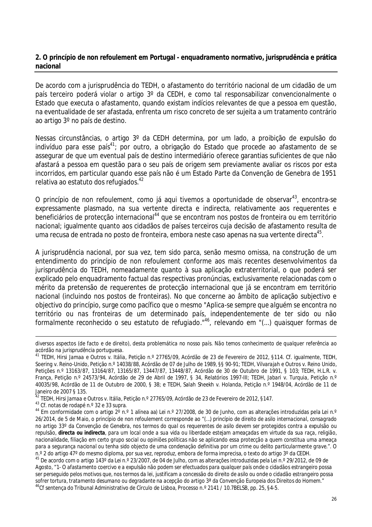#### **2. O princípio de** *non refoulement* **em Portugal - enquadramento normativo, jurisprudência e prática nacional**

De acordo com a jurisprudência do TEDH, o afastamento do território nacional de um cidadão de um país terceiro poderá violar o artigo 3º da CEDH, e como tal responsabilizar convencionalmente o Estado que executa o afastamento, quando existam indícios relevantes de que a pessoa em questão, na eventualidade de ser afastada, enfrenta um risco concreto de ser sujeita a um tratamento contrário ao artigo 3º no país de destino.

Nessas circunstâncias, o artigo 3º da CEDH determina, por um lado, a proibição de expulsão do indivíduo para esse país $^{41}$ ; por outro, a obrigação do Estado que procede ao afastamento de se assegurar de que um eventual país de destino intermediário oferece garantias suficientes de que não afastará a pessoa em questão para o seu país de origem sem previamente avaliar os riscos por esta incorridos, em particular quando esse país não é um Estado Parte da Convenção de Genebra de 1951 relativa ao estatuto dos refugiados.<sup>42</sup>

O princípio de *non refoulement*, como já aqui tivemos a oportunidade de observar<sup>43</sup>, encontra-se expressamente plasmado, na sua vertente directa e indirecta, relativamente aos requerentes e beneficiários de protecção internacional<sup>44</sup> que se encontram nos postos de fronteira ou em território nacional; igualmente quanto aos cidadãos de países terceiros cuja decisão de afastamento resulta de uma recusa de entrada no posto de fronteira, embora neste caso apenas na sua vertente directa $^{\rm 45}.$ 

A jurisprudência nacional, por sua vez, tem sido parca, senão mesmo omissa, na construção de um entendimento do princípio de *non refoulement* conforme aos mais recentes desenvolvimentos da jurisprudência do TEDH, nomeadamente quanto à sua aplicação extraterritorial, o que poderá ser explicado pelo enquadramento factual das respectivas pronúncias, exclusivamente relacionadas com o mérito da pretensão de requerentes de protecção internacional que já se encontram em território nacional (incluindo nos postos de fronteiras). No que concerne ao âmbito de aplicação subjectivo e objectivo do princípio, surge como pacífico que o mesmo "*Aplica-se sempre que alguém se encontra no território ou nas fronteiras de um determinado país, independentemente de ter sido ou não formalmente reconhecido o seu estatuto de refugiado*.*" 46 ,* relevando em "(...) *quaisquer formas de* 

 $\overline{a}$ *diversos aspectos (de facto e de direito), desta problemática no nosso país. Não temos conhecimento de qualquer referência ao acórdão na jurisprudência portuguesa.* 

<sup>41</sup> TEDH, *Hirsi Jamaa e Outros v. Itália,* Petição n.º 27765/09, Acórdão de 23 de Fevereiro de 2012, §114. Cf. igualmente, TEDH, *Soering v. Reino-Unido*, Petição n.º 14038/88, Acórdão de 07 de Julho de 1989, *§§ 90-91; TEDH, Vilvarajah e Outros v. Reino Unido*, Petições n.º 13163/87, 13164/87, 13165/87, 13447/87, 13448/87, Acórdão de 30 de Outubro de 1991, § 103*;* TEDH*, H.L.R. v. França,* Petição n.º 24573/94, Acórdão de 29 de Abril de 1997, § 34, Relatórios 1997-III; TEDH, *Jabari v. Turquia*, Petição n.º 40035/98, Acórdão de 11 de Outubro de 2000, § 38; e TEDH*, Salah Sheekh v. Holanda,* Petição n.º 1948/04, Acórdão de 11 de Janeiro de 2007 § 135.

<sup>42</sup> TEDH, *Hirsi Jamaa e Outros v. Itália,* Petição n.º 27765/09, Acórdão de 23 de Fevereiro de 2012, §147.

<sup>43</sup> Cf. notas de rodapé n.º 32 e 33 supra.

<sup>44</sup> Em conformidade com o artigo 2º n.º 1 alínea aa) Lei n.º 27/2008, de 30 de Junho, com as alterações introduzidas pela Lei n.º 26/2014, de 5 de Maio, o princípio de *non refoulement* corresponde ao *"(…) princípio de direito de asilo internacional, consagrado no artigo 33º da Convenção de Genebra, nos termos do qual os requerentes de asilo devem ser protegidos contra a expulsão ou repulsão, directa ou indirecta, para um local onde a sua vida ou liberdade estejam ameaçadas em virtude da sua raça, religião, nacionalidade, filiação em certo grupo social ou opiniões políticas não se aplicando essa protecção a quem constitua uma ameaça para a segurança nacional ou tenha sido objecto de uma condenação definitiva por um crime ou delito particularmente grave.*". O n.º 2 do artigo 47º do mesmo diploma, por sua vez, reproduz, embora de forma imprecisa, o texto do artigo 3º da CEDH.

<sup>&</sup>lt;sup>45</sup> De acordo com o artigo 143º da Lei n.º 23/2007, de 04 de Julho, com as alterações introduzidas pela Lei n.º 29/2012, de 09 de Agosto, "1- *O afastamento coercivo e a expulsão não podem ser efectuados para qualquer país onde o cidadãos estrangeiro possa ser perseguido pelos motivos que, nos termos da lei, justificam a concessão do direito de asilo ou onde o cidadão estrangeiro possa sofrer tortura, tratamento desumano ou degradante na acepção do artigo 3ª da Convenção Europeia dos Direitos do Homem."*  <sup>46</sup>Cf sentença do Tribunal Administrativo de Círculo de Lisboa, Processo n.º 2141 / 10.7BELSB, pp. 25, §4-5.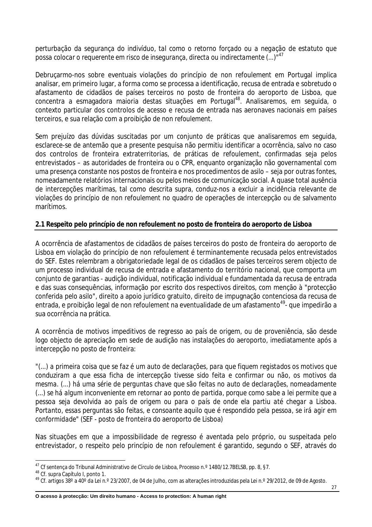*perturbação da segurança do indivíduo, tal como o retorno forçado ou a negação de estatuto que possa colocar o requerente em risco de insegurança, directa ou indirectamente (...)"<sup>47</sup>*

Debruçarmo-nos sobre eventuais violações do princípio de *non refoulement* em Portugal implica analisar, em primeiro lugar, a forma como se processa a identificação, recusa de entrada e sobretudo o afastamento de cidadãos de países terceiros no posto de fronteira do aeroporto de Lisboa, que concentra a esmagadora maioria destas situações em Portugal<sup>48</sup>. Analisaremos, em seguida, o contexto particular dos controlos de acesso e recusa de entrada nas aeronaves nacionais em países terceiros, e sua relação com a proibição de *non refoulement*.

Sem prejuízo das dúvidas suscitadas por um conjunto de práticas que analisaremos em seguida, esclarece-se de antemão que a presente pesquisa não permitiu identificar a ocorrência, salvo no caso dos controlos de fronteira extraterritorias, de práticas de *refoulement,* confirmadas seja pelos entrevistados – as autoridades de fronteira ou o CPR, enquanto organização não governamental com uma presença constante nos postos de fronteira e nos procedimentos de asilo – seja por outras fontes, nomeadamente relatórios internacionais ou pelos meios de comunicação social. A quase total ausência de intercepções marítimas, tal como descrita supra, conduz-nos a excluir a incidência relevante de violações do princípio de *non refoulement* no quadro de operações de intercepção ou de salvamento marítimos.

#### **2.1 Respeito pelo princípio de** *non refoulement* **no posto de fronteira do aeroporto de Lisboa**

A ocorrência de afastamentos de cidadãos de países terceiros do posto de fronteira do aeroporto de Lisboa em violação do princípio de *non refoulement* é terminantemente recusada pelos entrevistados do SEF. Estes relembram a obrigatoriedade legal de os cidadãos de países terceiros serem objecto de um processo individual de recusa de entrada e afastamento do território nacional, que comporta um conjunto de garantias - audição individual, notificação individual e fundamentada da recusa de entrada e das suas consequências, informação por escrito dos respectivos direitos, com menção à "*protecção conferida pelo asilo*", direito a apoio jurídico gratuito, direito de impugnação contenciosa da recusa de entrada, e proibição legal de *non refoulement* na eventualidade de um afastamento<sup>49</sup>- que impedirão a sua ocorrência na prática.

A ocorrência de motivos impeditivos de regresso ao país de origem, ou de proveniência, são desde logo objecto de apreciação em sede de audição nas instalações do aeroporto, imediatamente após a intercepção no posto de fronteira:

*"(...) a primeira coisa que se faz é um auto de declarações, para que fiquem registados os motivos que conduziram a que essa ficha de intercepção tivesse sido feita e confirmar ou não, os motivos da mesma. (...) há uma série de perguntas chave que são feitas no auto de declarações, nomeadamente (...) se há algum inconveniente em retornar ao ponto de partida, porque como sabe a lei permite que a pessoa seja devolvida ao país de origem ou para o país de onde ela partiu até chegar a Lisboa. Portanto, essas perguntas são feitas, e consoante aquilo que é respondido pela pessoa, se irá agir em conformidade"* (SEF - posto de fronteira do aeroporto de Lisboa)

Nas situações em que a impossibilidade de regresso é aventada pelo próprio, ou suspeitada pelo entrevistador, o respeito pelo princípio de *non refoulement* é garantido, segundo o SEF, através do

 $\overline{1}$  $^{47}$  Cf sentença do Tribunal Administrativo de Círculo de Lisboa, Processo n.º 1480/12.7BELSB, pp. 8, §7.

<sup>48</sup> Cf. supra Capítulo I, ponto 1.

<sup>&</sup>lt;sup>49</sup> Cf. artigos 38° a 40° da Lei n.º 23/2007, de 04 de Julho, com as alterações introduzidas pela Lei n.º 29/2012, de 09 de Agosto.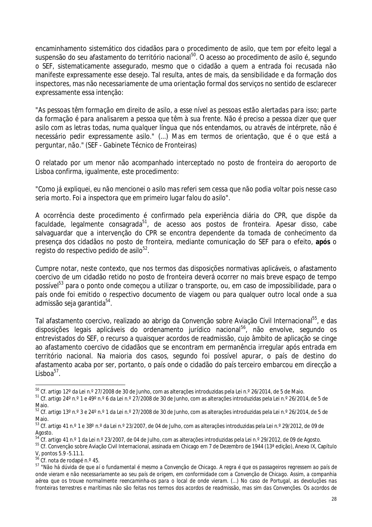encaminhamento sistemático dos cidadãos para o procedimento de asilo, que tem por efeito legal a suspensão do seu afastamento do território nacional<sup>50</sup>. O acesso ao procedimento de asilo é, segundo o SEF, sistematicamente assegurado, mesmo que o cidadão a quem a entrada foi recusada não manifeste expressamente esse desejo*.* Tal resulta, antes de mais, da sensibilidade e da formação dos inspectores, mas não necessariamente de uma orientação formal dos serviços no sentido de esclarecer expressamente essa intenção:

*"As pessoas têm formação em direito de asilo, a esse nível as pessoas estão alertadas para isso; parte da formação é para analisarem a pessoa que têm à sua frente. Não é preciso a pessoa dizer que quer asilo com as letras todas, numa qualquer língua que nós entendamos, ou através de intérprete, não é necessário pedir expressamente asilo." (...) Mas em termos de orientação, que é o que está a perguntar, não."* (SEF - Gabinete Técnico de Fronteiras)

O relatado por um menor não acompanhado interceptado no posto de fronteira do aeroporto de Lisboa confirma, igualmente, este procedimento:

*"Como já expliquei, eu não mencionei o asilo mas referi sem cessa que não podia voltar pois nesse caso seria morto. Foi a inspectora que em primeiro lugar falou do asilo".*

A ocorrência deste procedimento é confirmado pela experiência diária do CPR, que dispõe da faculdade, legalmente consagrada<sup>51</sup>, de acesso aos postos de fronteira. Apesar disso, cabe salvaguardar que a intervenção do CPR se encontra dependente da tomada de conhecimento da presença dos cidadãos no posto de fronteira, mediante comunicação do SEF para o efeito, **após** o registo do respectivo pedido de asilo $^{52}.$ 

Cumpre notar, neste contexto, que nos termos das disposições normativas aplicáveis, o afastamento coercivo de um cidadão retido no posto de fronteira deverá ocorrer no mais breve espaço de tempo possível<sup>53</sup> para o ponto onde começou a utilizar o transporte, ou, em caso de impossibilidade, para o país onde foi emitido o respectivo documento de viagem ou para qualquer outro local onde a sua admissão seja garantida<sup>54</sup>.

Tal afastamento coercivo, realizado ao abrigo da Convenção sobre Aviação Civil Internacional<sup>55</sup>, e das disposições legais aplicáveis do ordenamento jurídico nacional<sup>56</sup>, não envolve, segundo os entrevistados do SEF, o recurso a quaisquer acordos de readmissão, cujo âmbito de aplicação se cinge ao afastamento coercivo de cidadãos que se encontram em permanência irregular após entrada em território nacional. Na maioria dos casos, segundo foi possível apurar, o país de destino do afastamento acaba por ser, portanto, o país onde o cidadão do país terceiro embarcou em direcção a  $Lisboa<sup>57</sup>$ .

 $\overline{a}$ <sup>50</sup> Cf. artigo 12° da Lei n.° 27/2008 de 30 de Junho, com as alterações introduzidas pela Lei n.° 26/2014, de 5 de Maio.

<sup>51</sup> Cf. artigo 24º n.º 1 e 49º n.º 6 da Lei n.º 27/2008 de 30 de Junho, com as alterações introduzidas pela Lei n.º 26/2014, de 5 de Maio.

<sup>52</sup> Cf. artigo 13º n.º 3 e 24º n.º 1 da Lei n.º 27/2008 de 30 de Junho, com as alterações introduzidas pela Lei n.º 26/2014, de 5 de Maio.

<sup>53</sup> Cf. artigo 41 n.º 1 e 38º n.º da Lei n.º 23/2007, de 04 de Julho, com as alterações introduzidas pela Lei n.º 29/2012, de 09 de Agosto.

<sup>54</sup> Cf. artigo 41 n.º 1 da Lei n.º 23/2007, de 04 de Julho, com as alterações introduzidas pela Lei n.º 29/2012, de 09 de Agosto.

<sup>55</sup> Cf. Convenção sobre Aviação Civil Internacional, assinada em Chicago em 7 de Dezembro de 1944 (13ª edição), Anexo IX, Capítulo V, pontos 5.9 -5.11.1.

<sup>56</sup> Cf. nota de rodapé n.º 45.

<sup>57</sup> "*Não há dúvida de que aí o fundamental é mesmo a Convenção de Chicago. A regra é que os passageiros regressem ao país de onde vieram e não necessariamente ao seu país de origem, em conformidade com a Convenção de Chicago. Assim, a companhia aérea que os trouxe normalmente reencaminha-os para o local de onde vieram. (...) No caso de Portugal, as devoluções nas fronteiras terrestres e marítimas não são feitas nos termos dos acordos de readmissão, mas sim das Convenções. Os acordos de*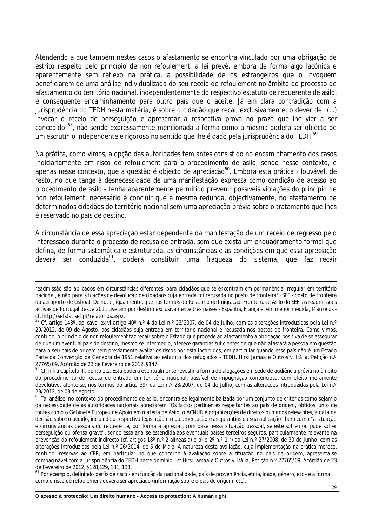Atendendo a que também nestes casos o afastamento se encontra vinculado por uma obrigação de estrito respeito pelo princípio de *non refoulement*, a lei prevê, embora de forma algo lacónica e aparentemente sem reflexo na prática, a possibilidade de os estrangeiros que o invoquem beneficiarem de uma análise individualizada do seu receio de *refoulement* no âmbito do processo de afastamento do território nacional, independentemente do respectivo estatuto de requerente de asilo, e consequente encaminhamento para outro país que o aceite. Já em clara contradição com a jurisprudência do TEDH nesta matéria, é sobre o cidadão que recai, exclusivamente, o dever de "(...) *invocar o receio de perseguição e apresentar a respectiva prova no prazo que lhe vier a ser concedido"*<sup>58</sup>, não sendo expressamente mencionada a forma como a mesma poderá ser objecto de um escrutínio independente e rigoroso no sentido que lhe é dado pela jurisprudência do TEDH.<sup>59</sup>

Na prática, como vimos, a opção das autoridades tem antes consistido no encaminhamento dos casos indiciariamente em risco de *refoulement* para o procedimento de asilo, sendo nesse contexto, e apenas nesse contexto, que a questão é objecto de apreciação<sup>60</sup>. Embora esta prática - louvável, de resto, no que tange à desnecessidade de uma manifestação expressa como condição de acesso ao procedimento de asilo - tenha aparentemente permitido prevenir possíveis violações do princípio de *non refoulement*, necessário é concluir que a mesma redunda, objectivamente, no afastamento de determinados cidadãos do território nacional sem uma apreciação prévia sobre o tratamento que lhes é reservado no país de destino.

A circunstância de essa apreciação estar dependente da manifestação de um receio de regresso pelo interessado durante o processo de recusa de entrada, sem que exista um enquadramento formal que defina, de forma sistemática e estruturada, as circunstâncias e as condições em que essa apreciação deverá ser conduzida<sup>61</sup>, poderá constituir uma fraqueza do sistema, que faz recair

 $\overline{a}$ 

*readmissão são aplicados em circunstâncias diferentes, para cidadãos que se encontram em permanência irregular em território nacional, e não para situações de devolução de cidadãos cuja entrada foi recusada no posto de fronteira"* (SEF - posto de fronteira do aeroporto de Lisboa). De notar, igualmente, que nos termos do Relatório de Imigração, Fronteiras e Asilo do SEF, as readmissões activas de Portugal desde 2011 tiveram por destino exclusivamente três países - Espanha, França e, em menor medida, Marrocos cf. http://sefstat.sef.pt/relatorios.aspx.

<sup>58</sup> Cf. artigo 143º, aplicável *ex vi* artigo 40º n.º 4 da Lei n.º 23/2007, de 04 de Julho, com as alterações introduzidas pela Lei n.º 29/2012, de 09 de Agosto, aos cidadãos cuja entrada em território nacional é recusada nos postos de fronteira. Como vimos, contudo, o princípio de *non refoulement* faz recair sobre o Estado que procede ao afastamento a obrigação positiva de se assegurar de que um eventual país de destino, mesmo se intermédio, oferece garantias suficientes de que não afastará a pessoa em questão para o seu país de origem sem previamente avaliar os riscos por esta incorridos, em particular quando esse país não é um Estado Parte da Convenção de Genebra de 1951 relativa ao estatuto dos refugiados - TEDH, *Hirsi Jamaa e Outros v. Itália,* Petição n.º 27765/09, Acórdão de 23 de Fevereiro de 2012, §147.

<sup>59</sup> Cf. infra Capítulo III, ponto 2.2. Esta poderá eventualmente revestir a forma de alegações em sede de audiência prévia no âmbito do procedimento de recusa de entrada em território nacional, passível de impugnação contenciosa, com efeito meramente devolutivo, atente-se, nos termos do artigo 39° da Lei n.º 23/2007, de 04 de Julho, com as alterações introduzidas pela Lei n.º 29/2012, de 09 de Agosto.

<sup>60</sup> Tal análise, no contexto do procedimento de asilo, encontra-se legalmente balizada por um conjunto de critérios como sejam o da necessidade de as autoridades nacionais apreciarem *"Os factos pertinentes respeitantes ao país de origem, obtidos junto de fontes como o Gabinete Europeu de Apoio em matéria de Asilo, o ACNUR e organizações de direitos humanos relevantes, à data da decisão sobre o pedido, incluindo a respectiva legislação e regulamentação e as garantias da sua aplicação"* bem como "*a situação e circunstâncias pessoais do requerente, por forma a apreciar, com base nessa situação pessoal, se este sofreu ou pode sofrer perseguição ou ofensa grave*", sendo essa análise estendida aos eventuais países terceiros seguros, particularmente relevante na prevenção do *refoulement* indirecto (cf. artigos 18º n.º 2 alíneas a) e b) e 2º n.º 1 r) da Lei n.º 27/2008, de 30 de Junho, com as alterações introduzidas pela Lei n.º 26/2014, de 5 de Maio. A natureza desta avaliação, cuja implementação na prática merece, contudo, reservas ao CPR, em particular no que concerne à avaliação sobre a situação no país de origem, apresenta-se compaginável com a jurisprudência do TEDH neste domínio - cf *Hirsi Jamaa e Outros v. Itália,* Petição n.º 27765/09, Acórdão de 23 de Fevereiro de 2012, §128,129, 131, 133.

<sup>&</sup>lt;sup>61</sup> Por exemplo, definindo perfis de risco - em função da nacionalidade, país de proveniência, etnia, idade, género, etc - e a forma como o risco de refoulement deverá ser apreciado (informação sobre o país de origem, etc).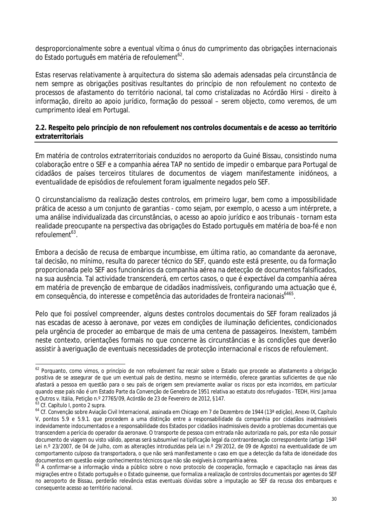desproporcionalmente sobre a eventual vítima o ónus do cumprimento das obrigações internacionais do Estado português em matéria de *refoulement<sup>62</sup>.* 

Estas reservas relativamente à arquitectura do sistema são ademais adensadas pela circunstância de nem sempre as obrigações positivas resultantes do princípio de *non refoulement* no contexto de processos de afastamento do território nacional, tal como cristalizadas no Acórdão *Hirsi* - direito à informação, direito ao apoio jurídico, formação do pessoal – serem objecto, como veremos, de um cumprimento ideal em Portugal.

#### **2.2. Respeito pelo princípio de** *non refoulement* **nos controlos documentais e de acesso ao território extraterritoriais**

Em matéria de controlos extraterritoriais conduzidos no aeroporto da Guiné Bissau, consistindo numa colaboração entre o SEF e a companhia aérea TAP no sentido de impedir o embarque para Portugal de cidadãos de países terceiros titulares de documentos de viagem manifestamente inidóneos, a eventualidade de episódios de *refoulement* foram igualmente negados pelo SEF.

O circunstancialismo da realização destes controlos, em primeiro lugar, bem como a impossibilidade prática de acesso a um conjunto de garantias - como sejam, por exemplo, o acesso a um intérprete, a uma análise individualizada das circunstâncias, o acesso ao apoio jurídico e aos tribunais - tornam esta realidade preocupante na perspectiva das obrigações do Estado português em matéria de boa-fé e *non refoulement<sup>63</sup>* .

Embora a decisão de recusa de embarque incumbisse, em última *ratio*, ao comandante da aeronave, tal decisão, no mínimo, resulta do parecer técnico do SEF, quando este está presente, ou da formação proporcionada pelo SEF aos funcionários da companhia aérea na detecção de documentos falsificados, na sua ausência. Tal actividade transcenderá, em certos casos, o que é expectável da companhia aérea em matéria de prevenção de embarque de cidadãos inadmissíveis, configurando uma actuação que é, em consequência, do interesse e competência das autoridades de fronteira nacionais<sup>6465</sup>.

Pelo que foi possível compreender, alguns destes controlos documentais do SEF foram realizados já nas escadas de acesso à aeronave, por vezes em condições de iluminação deficientes, condicionados pela urgência de proceder ao embarque de mais de uma centena de passageiros. Inexistem, também neste contexto, orientações formais no que concerne às circunstâncias e às condições que deverão assistir à averiguação de eventuais necessidades de protecção internacional e riscos de *refoulement*.

 $\overline{a}$ 

<sup>62</sup> Porquanto, como vimos, o princípio de *non refoulement* faz recair sobre o Estado que procede ao afastamento a obrigação positiva de se assegurar de que um eventual país de destino, mesmo se intermédio, oferece garantias suficientes de que não afastará a pessoa em questão para o seu país de origem sem previamente avaliar os riscos por esta incorridos, em particular quando esse país não é um Estado Parte da Convenção de Genebra de 1951 relativa ao estatuto dos refugiados - TEDH, *Hirsi Jamaa e Outros v. Itália,* Petição n.º 27765/09, Acórdão de 23 de Fevereiro de 2012, §147.

<sup>&</sup>lt;sup>63</sup> Cf. Capítulo I, ponto 2 supra.

<sup>&</sup>lt;sup>64</sup> Cf. Convenção sobre Aviação Civil Internacional, assinada em Chicago em 7 de Dezembro de 1944 (13<sup>ª</sup> edição), Anexo IX, Capítulo V, pontos 5.9 e 5.9.1. que procedem a uma distinção entre a responsabilidade da companhia por cidadãos inadmissíveis indevidamente indocumentados e a responsabilidade dos Estados por cidadãos inadmissíveis devido a problemas documentais que transcendem a perícia do operador da aeronave. O transporte de pessoa com entrada não autorizada no país, por esta não possuir documento de viagem ou visto válido, apenas será subsumível na tipificação legal da contraordenação correspondente (artigo 194º Lei n.º 23/2007, de 04 de Julho, com as alterações introduzidas pela Lei n.º 29/2012, de 09 de Agosto) na eventualidade de um comportamento culposo da transportadora, o que não será manifestamente o caso em que a detecção da falta de idoneidade dos documentos em questão exige conhecimentos técnicos que não são exigíveis à companhia aérea.

<sup>65</sup> A confirmar-se a informação vinda a público sobre o novo protocolo de cooperação, formação e capacitação nas áreas das migrações entre o Estado português e o Estado guineense, que formaliza a realização de controlos documentais por agentes do SEF no aeroporto de Bissau, perderão relevância estas eventuais dúvidas sobre a imputação ao SEF da recusa dos embarques e consequente acesso ao território nacional.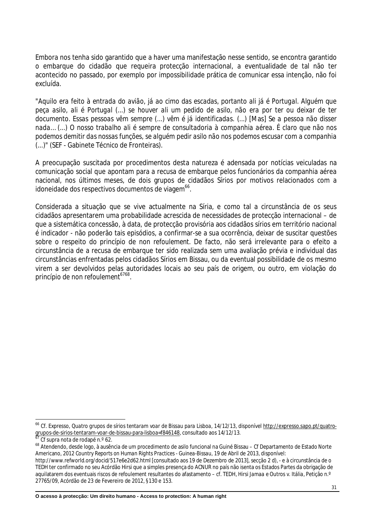Embora nos tenha sido garantido que a haver uma manifestação nesse sentido, se encontra garantido o embarque do cidadão que requeira protecção internacional, a eventualidade de tal não ter acontecido no passado, por exemplo por impossibilidade prática de comunicar essa intenção, não foi excluída.

"*Aquilo era feito à entrada do avião, já ao cimo das escadas, portanto ali já é Portugal. Alguém que peça asilo, ali é Portugal (...) se houver ali um pedido de asilo, não era por ter ou deixar de ter documento. Essas pessoas vêm sempre (...) vêm é já identificadas. (...)* [Mas] *Se a pessoa não disser nada… (...) O nosso trabalho ali é sempre de consultadoria à companhia aérea. É claro que não nos podemos demitir das nossas funções, se alguém pedir asilo não nos podemos escusar com a companhia (...)"* (SEF - Gabinete Técnico de Fronteiras).

A preocupação suscitada por procedimentos desta natureza é adensada por notícias veiculadas na comunicação social que apontam para a recusa de embarque pelos funcionários da companhia aérea nacional, nos últimos meses, de dois grupos de cidadãos Sírios por motivos relacionados com a idoneidade dos respectivos documentos de viagem $^{66}$ .

Considerada a situação que se vive actualmente na Síria, e como tal a circunstância de os seus cidadãos apresentarem uma probabilidade acrescida de necessidades de protecção internacional – de que a sistemática concessão, à data, de protecção provisória aos cidadãos sírios em território nacional é indicador - não poderão tais episódios, a confirmar-se a sua ocorrência, deixar de suscitar questões sobre o respeito do princípio de *non refoulement*. De facto, não será irrelevante para o efeito a circunstância de a recusa de embarque ter sido realizada sem uma avaliação prévia e individual das circunstâncias enfrentadas pelos cidadãos Sírios em Bissau, ou da eventual possibilidade de os mesmo virem a ser devolvidos pelas autoridades locais ao seu país de origem, ou outro, em violação do princípio de *non refoulement<sup>6768</sup> .*

 $\overline{\phantom{a}}$ 

<sup>68</sup> Atendendo, desde logo, à ausência de um procedimento de asilo funcional na Guiné Bissau – Cf Departamento de Estado Norte Americano, *2012 Country Reports on Human Rights Practices - Guinea-Bissau*, 19 de Abril de 2013, disponível:

<sup>&</sup>lt;sup>66</sup> Cf. Expresso, *Quatro grupos de sírios tentaram voar de Bissau para Lisboa*, 14/12/13, disponível <u>http://expresso.sapo.pt/quatro-</u> grupos-de-sirios-tentaram-voar-de-bissau-para-lisboa=f846148, consultado aos 14/12/13.

<sup>67</sup> Cf supra nota de rodapé n.º 62.

http://www.refworld.org/docid/517e6e2d62.html [consultado aos 19 de Dezembro de 2013], secção 2 d), - e à circunstância de o TEDH ter confirmado no seu Acórdão Hirsi que a simples presença do ACNUR no país não isenta os Estados Partes da obrigação de aquilatarem dos eventuais riscos de *refoulement* resultantes do afastamento – cf. TEDH, *Hirsi Jamaa e Outros v. Itália,* Petição n.º 27765/09, Acórdão de 23 de Fevereiro de 2012, §130 e 153.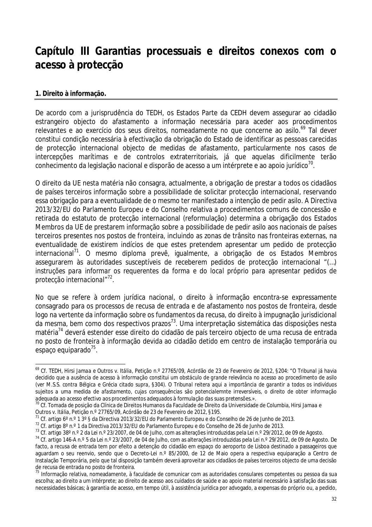## **Capítulo III Garantias processuais e direitos conexos com o acesso à protecção**

#### **1. Direito à informação.**

 $\overline{a}$ 

De acordo com a jurisprudência do TEDH, os Estados Parte da CEDH devem assegurar ao cidadão estrangeiro objecto do afastamento a informação necessária para aceder aos procedimentos relevantes e ao exercício dos seus direitos, nomeadamente no que concerne ao asilo.<sup>69</sup> Tal dever constitui condição necessária à efectivação da obrigação do Estado de identificar as pessoas carecidas de protecção internacional objecto de medidas de afastamento, particularmente nos casos de intercepções marítimas e de controlos extraterritoriais, já que aquelas dificilmente terão conhecimento da legislação nacional e disporão de acesso a um intérprete e ao apoio jurídico $^{\prime0}$ .

O direito da UE nesta matéria não consagra, actualmente, a obrigação de prestar a todos os cidadãos de países terceiros informação sobre a possibilidade de solicitar protecção internacional, reservando essa obrigação para a eventualidade de o mesmo ter manifestado a intenção de pedir asilo. A Directiva 2013/32/EU do Parlamento Europeu e do Conselho relativa a procedimentos comuns de concessão e retirada do estatuto de protecção internacional (reformulação) determina a obrigação dos Estados Membros da UE de prestarem informação sobre a possibilidade de pedir asilo aos nacionais de países terceiros presentes nos postos de fronteira, incluindo as zonas de trânsito nas fronteiras externas, na eventualidade de existirem indícios de que estes pretendem apresentar um pedido de protecção internacional<sup>71</sup>. O mesmo diploma prevê, igualmente, a obrigação de os Estados Membros assegurarem às autoridades susceptíveis de receberem pedidos de protecção internacional "(…) *instruções para informar os requerentes da forma e do local próprio para apresentar pedidos de protecção internacional*" 72 .

No que se refere à ordem jurídica nacional, o direito à informação encontra-se expressamente consagrado para os processos de recusa de entrada e de afastamento nos postos de fronteira, desde logo na vertente da informação sobre os fundamentos da recusa, do direito à impugnação jurisdicional da mesma, bem como dos respectivos prazos<sup>73</sup>. Uma interpretação sistemática das disposições nesta matéria<sup>74</sup> deverá estender esse direito do cidadão de país terceiro objecto de uma recusa de entrada no posto de fronteira à informação devida ao cidadão detido em centro de instalação temporária ou espaço equiparado<sup>75</sup>.

<sup>69</sup> Cf. TEDH, *Hirsi Jamaa e Outros v. Itália,* Petição n.º 27765/09, Acórdão de 23 de Fevereiro de 2012, §204: *"O Tribunal já havia decidido que a ausência de acesso à informação constitui um obstáculo de grande relevância no acesso ao procedimento de asilo (ver M.S.S. contra Bélgica e Grécia citado supra, §304). O Tribunal reitera aqui a importância de garantir a todos os indivíduos sujeitos a uma medida de afastamento, cujas consequências são potencialemnte irreversíveis, o direito de obter informação adequada ao acesso efectivo aos procedimentos adequados à formulação das suas pretensões.».*

<sup>70</sup> Cf. Tomada de posição da Clínica de Direitos Humanos da Faculdade de Direito da Universidade de Columbia, *Hirsi Jamaa e Outros v. Itália,* Petição n.º 27765/09, Acórdão de 23 de Fevereiro de 2012, §195.

 $^{71}$  Cf. artigo 6º n.º 1 3º § da Directiva 2013/32/EU do Parlamento Europeu e do Conselho de 26 de Junho de 2013.

<sup>72</sup> Cf. artigo 8º n.º 1 da Directiva 2013/32/EU do Parlamento Europeu e do Conselho de 26 de Junho de 2013.

<sup>73</sup> Cf. artigo 38º n.º 2 da Lei n.º 23/2007, de 04 de Julho, com as alterações introduzidas pela Lei n.º 29/2012, de 09 de Agosto.

<sup>74</sup> Cf. artigo 146-A n.º 5 da Lei n.º 23/2007, de 04 de Julho, com as alterações introduzidas pela Lei n.º 29/2012, de 09 de Agosto. De facto, a recusa de entrada tem por efeito a detenção do cidadão em espaço do aeroporto de Lisboa destinado a passageiros que aguardam o seu reenvio, sendo que o Decreto-Lei n.º 85/2000, de 12 de Maio opera a respectiva equiparação a Centro de Instalação Temporária, pelo que tal disposição também deverá aproveitar aos cidadãos de países terceiros objecto de uma decisão de recusa de entrada no posto de fronteira.

<sup>75</sup> Informação relativa, nomeadamente, à faculdade de comunicar com as autoridades consulares competentes ou pessoa da sua escolha; ao direito a um intérprete; ao direito de acesso aos cuidados de saúde e ao apoio material necessário à satisfação das suas necessidades básicas; à garantia de acesso, em tempo útil, à assistência jurídica por advogado, a expensas do próprio ou, a pedido,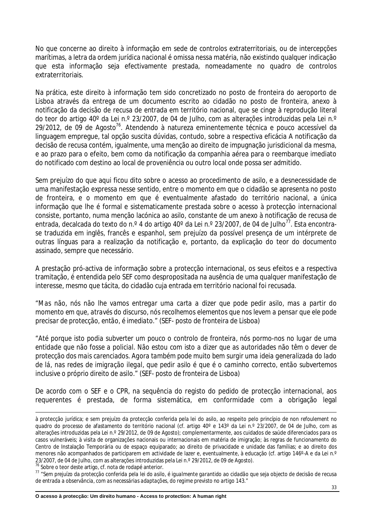No que concerne ao direito à informação em sede de controlos extraterritoriais, ou de intercepções marítimas, a letra da ordem jurídica nacional é omissa nessa matéria, não existindo qualquer indicação que esta informação seja efectivamente prestada, nomeadamente no quadro de controlos extraterritoriais.

Na prática, este direito à informação tem sido concretizado no posto de fronteira do aeroporto de Lisboa através da entrega de um documento escrito ao cidadão no posto de fronteira, anexo à notificação da decisão de recusa de entrada em território nacional, que se cinge à reprodução literal do teor do artigo 40º da Lei n.º 23/2007, de 04 de Julho, com as alterações introduzidas pela Lei n.º  $29/2012$ , de 09 de Agosto<sup>76</sup>. Atendendo à natureza eminentemente técnica e pouco accessível da linguagem empregue, tal opção suscita dúvidas, contudo, sobre a respectiva eficácia A notificação da decisão de recusa contém, igualmente, uma menção ao direito de impugnação jurisdicional da mesma, e ao prazo para o efeito, bem como da notificação da companhia aérea para o reembarque imediato do notificado com destino ao local de proveniência ou outro local onde possa ser admitido.

Sem prejuízo do que aqui ficou dito sobre o acesso ao procedimento de asilo, e a desnecessidade de uma manifestação expressa nesse sentido, entre o momento em que o cidadão se apresenta no posto de fronteira, e o momento em que é eventualmente afastado do território nacional, a única informação que lhe é formal e sistematicamente prestada sobre o acesso à protecção internacional consiste, portanto, numa menção lacónica ao asilo, constante de um anexo à notificação de recusa de entrada, decalcada do texto do n.º 4 do artigo 40º da Lei n.º 23/2007, de 04 de Julho<sup>77</sup>. Esta encontrase traduzida em inglês, francês e espanhol, sem prejuízo da possível presença de um intérprete de outras línguas para a realização da notificação e, portanto, da explicação do teor do documento assinado, sempre que necessário.

A prestação pró-activa de informação sobre a protecção internacional, os seus efeitos e a respectiva tramitação, é entendida pelo SEF como despropositada na ausência de uma qualquer manifestação de interesse, mesmo que tácita, do cidadão cuja entrada em território nacional foi recusada.

*"Mas não, nós não lhe vamos entregar uma carta a dizer que pode pedir asilo, mas a partir do momento em que, através do discurso, nós recolhemos elementos que nos levem a pensar que ele pode precisar de protecção, então, é imediato."* (SEF- posto de fronteira de Lisboa)

*"Até porque isto podia subverter um pouco o controlo de fronteira, nós pormo-nos no lugar de uma entidade que não fosse a policial. Não estou com isto a dizer que as autoridades não têm o dever de protecção dos mais carenciados. Agora também pode muito bem surgir uma ideia generalizada do lado de lá, nas redes de imigração ilegal, que pedir asilo é que é o caminho correcto, então subvertemos inclusive o próprio direito de asilo."* (SEF- posto de fronteira de Lisboa)

De acordo com o SEF e o CPR, na sequência do registo do pedido de protecção internacional, aos requerentes é prestada, de forma sistemática, em conformidade com a obrigação legal

<sup>76</sup> Sobre o teor deste artigo, cf. nota de rodapé anterior.

 $\overline{a}$ 

à protecção jurídica; e sem prejuízo da protecção conferida pela lei do asilo, ao respeito pelo princípio de *non refoulement* no quadro do processo de afastamento do território nacional (cf. artigo 40º e 143º da Lei n.º 23/2007, de 04 de Julho, com as alterações introduzidas pela Lei n.º 29/2012, de 09 de Agosto); complementarmente, aos cuidados de saúde diferenciados para os casos vulneráveis; à visita de organizações nacionais ou internacionais em matéria de imigração; às regras de funcionamento do Centro de Instalação Temporária ou de espaço equiparado; ao direito de privacidade e unidade das famílias; e ao direito dos menores não acompanhados de participarem em actividade de lazer e, eventualmente, à educação (cf. artigo 146°-A e da Lei n.º 23/2007, de 04 de Julho, com as alterações introduzidas pela Lei n.º 29/2012, de 09 de Agosto).

<sup>77</sup> *"Sem prejuízo da protecção conferida pela lei do asilo, é igualmente garantido ao cidadão que seja objecto de decisão de recusa de entrada a observância, com as necessárias adaptações, do regime previsto no artigo 143."*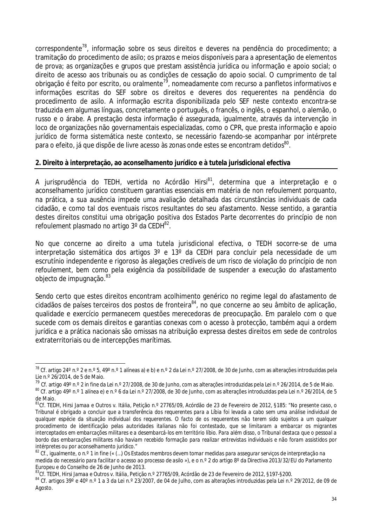correspondente<sup>78</sup>, informação sobre os seus direitos e deveres na pendência do procedimento; a tramitação do procedimento de asilo; os prazos e meios disponíveis para a apresentação de elementos de prova; as organizações e grupos que prestam assistência jurídica ou informação e apoio social; o direito de acesso aos tribunais ou as condições de cessação do apoio social. O cumprimento de tal obrigação é feito por escrito, ou oralmente<sup>79</sup>, nomeadamente com recurso a panfletos informativos e informações escritas do SEF sobre os direitos e deveres dos requerentes na pendência do procedimento de asilo. A informação escrita disponibilizada pelo SEF neste contexto encontra-se traduzida em algumas línguas, concretamente o português, o francês, o inglês, o espanhol, o alemão, o russo e o árabe. A prestação desta informação é assegurada, igualmente, através da intervenção *in loco* de organizações não governamentais especializadas, como o CPR, que presta informação e apoio jurídico de forma sistemática neste contexto, se necessário fazendo-se acompanhar por intérprete para o efeito, já que dispõe de livre acesso às zonas onde estes se encontram detidos $^{\rm 80}$ .

#### **2. Direito à interpretação, ao aconselhamento jurídico e à tutela jurisdicional efectiva**

A jurisprudência do TEDH, vertida no Acórdão *Hirsi<sup>81</sup>* , determina que a interpretação e o aconselhamento jurídico constituem garantias essenciais em matéria de *non refoulement* porquanto, na prática, a sua ausência impede uma avaliação detalhada das circunstâncias individuais de cada cidadão, e como tal dos eventuais riscos resultantes do seu afastamento. Nesse sentido, a garantia destes direitos constitui uma obrigação positiva dos Estados Parte decorrentes do princípio de *non refoulement* plasmado no artigo 3° da CEDH<sup>82</sup>.

No que concerne ao direito a uma tutela jurisdicional efectiva, o TEDH socorre-se de uma interpretação sistemática dos artigos 3º e 13º da CEDH para concluir pela necessidade de um escrutínio independente e rigoroso às alegações credíveis de um risco de violação do princípio de *non refoulement*, bem como pela exigência da possibilidade de suspender a execução do afastamento objecto de impugnação.<sup>83</sup>

Sendo certo que estes direitos encontram acolhimento genérico no regime legal do afastamento de cidadãos de países terceiros dos postos de fronteira  $84$ , no que concerne ao seu âmbito de aplicação, qualidade e exercício permanecem questões merecedoras de preocupação. Em paralelo com o que sucede com os demais direitos e garantias conexas com o acesso à protecção, também aqui a ordem jurídica e a prática nacionais são omissas na atribuição expressa destes direitos em sede de controlos extraterritoriais ou de intercepções marítimas.

 $\overline{a}$ <sup>78</sup> Cf. artigo 24º n.º 2 e n.º 5, 49º n.º 1 alíneas a) e b) e n.º 2 da Lei n.º 27/2008, de 30 de Junho, com as alterações introduzidas pela Lie n.º 26/2014, de 5 de Maio.

<sup>79</sup> Cf. artigo 49º n.º 2 *in fine* da Lei n.º 27/2008, de 30 de Junho, com as alterações introduzidas pela Lei n.º 26/2014, de 5 de Maio.

<sup>80</sup> Cf. artigo 49º n.º 1 alínea e) e n.º 6 da Lei n.º 27/2008, de 30 de Junho, com as alterações introduzidas pela Lei n.º 26/2014, de 5 de Maio.

<sup>81</sup>Cf. TEDH, *Hirsi Jamaa e Outros v. Itália,* Petição n.º 27765/09, Acórdão de 23 de Fevereiro de 2012, §185: "*No presente caso, o Tribunal é obrigado a concluir que a transferência dos requerentes para a Líbia foi levada a cabo sem uma análise individual de qualquer espécie da situação individual dos requerentes. O facto de os requerentes não terem sido sujeitos a um qualquer procedimento de identificação pelas autoridades italianas não foi contestado, que se limitaram a embarcar os migrantes interceptados em embarcações militares e a desembarcá-los em território líbio. Para além disso, o Tribunal destaca que o pessoal a bordo das embarcações militares não haviam recebido formação para realizar entrevistas individuais e não foram assistidos por intérpretes ou por aconselhamento jurídico*."

<sup>82</sup> Cf., igualmente, o n.º 1 *in fine* (« (…) *Os Estados membros devem tomar medidas para assegurar serviços de interpretação na medida do necessário para facilitar o acesso ao processo de asilo* »), e o n.º 2 do artigo 8º da Directiva 2013/32/EU do Parlamento Europeu e do Conselho de 26 de Junho de 2013.

<sup>83</sup>Cf. TEDH, *Hirsi Jamaa e Outros v. Itália,* Petição n.º 27765/09, Acórdão de 23 de Fevereiro de 2012, §197-§200.

<sup>84</sup> Cf. artigos 39° e 40° n.º 1 a 3 da Lei n.º 23/2007, de 04 de Julho, com as alterações introduzidas pela Lei n.º 29/2012, de 09 de Agosto.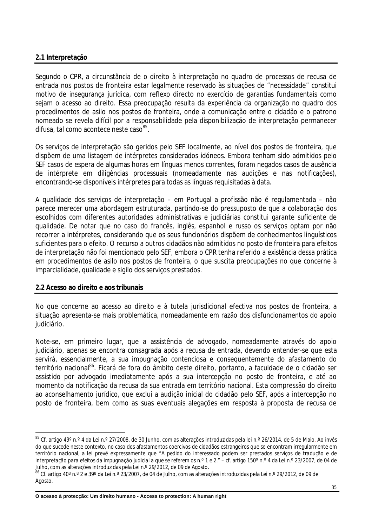#### **2.1 Interpretação**

Segundo o CPR, a circunstância de o direito à interpretação no quadro de processos de recusa de entrada nos postos de fronteira estar legalmente reservado às situações de "necessidade" constitui motivo de insegurança jurídica, com reflexo directo no exercício de garantias fundamentais como sejam o acesso ao direito. Essa preocupação resulta da experiência da organização no quadro dos procedimentos de asilo nos postos de fronteira, onde a comunicação entre o cidadão e o patrono nomeado se revela difícil por a responsabilidade pela disponibilização de interpretação permanecer difusa, tal como acontece neste caso<sup>85</sup>.

Os serviços de interpretação são geridos pelo SEF localmente, ao nível dos postos de fronteira, que dispõem de uma listagem de intérpretes considerados idóneos. Embora tenham sido admitidos pelo SEF casos de espera de algumas horas em línguas menos correntes, foram negados casos de ausência de intérprete em diligências processuais (nomeadamente nas audições e nas notificações), encontrando-se disponíveis intérpretes para todas as línguas requisitadas à data.

A qualidade dos serviços de interpretação – em Portugal a profissão não é regulamentada – não parece merecer uma abordagem estruturada, partindo-se do pressuposto de que a colaboração dos escolhidos com diferentes autoridades administrativas e judiciárias constitui garante suficiente de qualidade. De notar que no caso do francês, inglês, espanhol e russo os serviços optam por não recorrer a intérpretes, considerando que os seus funcionários dispõem de conhecimentos linguísticos suficientes para o efeito. O recurso a outros cidadãos não admitidos no posto de fronteira para efeitos de interpretação não foi mencionado pelo SEF, embora o CPR tenha referido a existência dessa prática em procedimentos de asilo nos postos de fronteira, o que suscita preocupações no que concerne à imparcialidade, qualidade e sigilo dos serviços prestados.

#### **2.2 Acesso ao direito e aos tribunais**

 $\overline{a}$ 

No que concerne ao acesso ao direito e à tutela jurisdicional efectiva nos postos de fronteira, a situação apresenta-se mais problemática, nomeadamente em razão dos disfuncionamentos do apoio judiciário.

Note-se, em primeiro lugar, que a assistência de advogado, nomeadamente através do apoio judiciário, apenas se encontra consagrada após a recusa de entrada, devendo entender-se que esta servirá, essencialmente, a sua impugnação contenciosa e consequentemente do afastamento do território nacional<sup>86</sup>. Ficará de fora do âmbito deste direito, portanto, a faculdade de o cidadão ser assistido por advogado imediatamente após a sua intercepção no posto de fronteira, e até ao momento da notificação da recusa da sua entrada em território nacional. Esta compressão do direito ao aconselhamento jurídico, que exclui a audição inicial do cidadão pelo SEF, após a intercepção no posto de fronteira, bem como as suas eventuais alegações em resposta à proposta de recusa de

<sup>&</sup>lt;sup>85</sup> Cf. artigo 49º n.º 4 da Lei n.º 27/2008, de 30 Junho, com as alterações introduzidas pela lei n.º 26/2014, de 5 de Maio. Ao invés do que sucede neste contexto, no caso dos afastamentos coercivos de cidadãos estrangeiros que se encontram irregularmente em território nacional, a lei prevê expressamente que "*A pedido do interessado podem ser prestados serviços de tradução e de interpretação para efeitos da impugnação judicial a que se referem os n.º 1 e 2.*" – cf. artigo 150º n.º 4 da Lei n.º 23/2007, de 04 de Julho, com as alterações introduzidas pela Lei n.º 29/2012, de 09 de Agosto.

<sup>86</sup> Cf. artigo 40º n.º 2 e 39º da Lei n.º 23/2007, de 04 de Julho, com as alterações introduzidas pela Lei n.º 29/2012, de 09 de Agosto.

**O acesso à protecção: Um direito humano - Access to protection: A human right**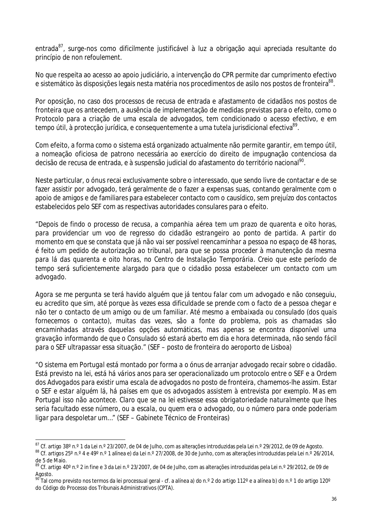entrada<sup>87</sup>, surge-nos como dificilmente justificável à luz a obrigação aqui apreciada resultante do princípio de *non refoulement*.

No que respeita ao acesso ao apoio judiciário, a intervenção do CPR permite dar cumprimento efectivo e sistemático às disposições legais nesta matéria nos procedimentos de asilo nos postos de fronteira $^\mathrm{88}.$ 

Por oposição, no caso dos processos de recusa de entrada e afastamento de cidadãos nos postos de fronteira que os antecedem, a ausência de implementação de medidas previstas para o efeito, como o Protocolo para a criação de uma escala de advogados, tem condicionado o acesso efectivo, e em tempo útil, à protecção jurídica, e consequentemente a uma tutela jurisdicional efectiva<sup>89</sup>.

Com efeito, a forma como o sistema está organizado actualmente não permite garantir, em tempo útil, a nomeação oficiosa de patrono necessária ao exercício do direito de impugnação contenciosa da decisão de recusa de entrada, e à suspensão judicial do afastamento do território nacional<sup>90</sup>.

Neste particular, o ónus recai exclusivamente sobre o interessado, que sendo livre de contactar e de se fazer assistir por advogado, terá geralmente de o fazer a expensas suas, contando geralmente com o apoio de amigos e de familiares para estabelecer contacto com o causídico, sem prejuízo dos contactos estabelecidos pelo SEF com as respectivas autoridades consulares para o efeito.

*"Depois de findo o processo de recusa, a companhia aérea tem um prazo de quarenta e oito horas, para providenciar um voo de regresso do cidadão estrangeiro ao ponto de partida. A partir do momento em que se constata que já não vai ser possível reencaminhar a pessoa no espaço de 48 horas, é feito um pedido de autorização ao tribunal, para que se possa proceder à manutenção da mesma para lá das quarenta e oito horas, no Centro de Instalação Temporária. Creio que este período de tempo será suficientemente alargado para que o cidadão possa estabelecer um contacto com um advogado.*

*Agora se me pergunta se terá havido alguém que já tentou falar com um advogado e não conseguiu, eu acredito que sim, até porque às vezes essa dificuldade se prende com o facto de a pessoa chegar e não ter o contacto de um amigo ou de um familiar. Até mesmo a embaixada ou consulado (dos quais fornecemos o contacto), muitas das vezes, são a fonte do problema, pois as chamadas são encaminhadas através daquelas opções automáticas, mas apenas se encontra disponível uma gravação informando de que o Consulado só estará aberto em dia e hora determinada, não sendo fácil para o SEF ultrapassar essa situação."* (SEF – posto de fronteira do aeroporto de Lisboa)

*"O sistema em Portugal está montado por forma a o ónus de arranjar advogado recair sobre o cidadão. Está previsto na lei, está há vários anos para ser operacionalizado um protocolo entre o SEF e a Ordem dos Advogados para existir uma escala de advogados no posto de fronteira, chamemos-lhe assim. Estar o SEF e estar alguém lá, há países em que os advogados assistem à entrevista por exemplo. Mas em Portugal isso não acontece. Claro que se na lei estivesse essa obrigatoriedade naturalmente que lhes seria facultado esse número, ou a escala, ou quem era o advogado, ou o número para onde poderiam ligar para despoletar um…"* (SEF – Gabinete Técnico de Fronteiras)

 $\overline{\phantom{a}}$ 

<sup>&</sup>lt;sup>87</sup> Cf. artigo 38º n.º 1 da Lei n.º 23/2007, de 04 de Julho, com as alterações introduzidas pela Lei n.º 29/2012, de 09 de Agosto.

<sup>88</sup> Cf. artigos 25º n.º 4 e 49º n.º 1 alínea e) da Lei n.º 27/2008, de 30 de Junho, com as alterações introduzidas pela Lei n.º 26/2014, de 5 de Maio.

<sup>89</sup> Cf. artigo 40º n.º 2 in fine e 3 da Lei n.º 23/2007, de 04 de Julho, com as alterações introduzidas pela Lei n.º 29/2012, de 09 de Agosto.

<sup>&</sup>lt;sup>90</sup> Tal como previsto nos termos da lei processual geral - cf. a alínea a) do n.º 2 do artigo 112º e a alínea b) do n.º 1 do artigo 120º do Código do Processo dos Tribunais Administrativos (CPTA).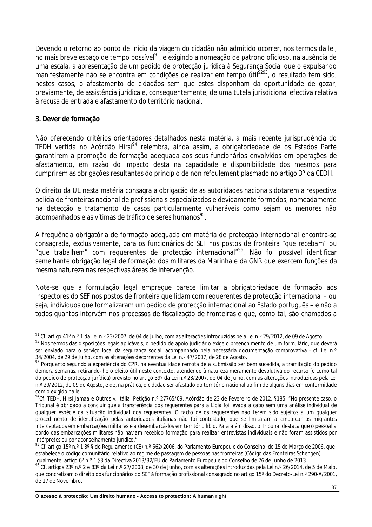Devendo o retorno ao ponto de início da viagem do cidadão não admitido ocorrer, nos termos da lei, no mais breve espaço de tempo possível<sup>91</sup>, e exigindo a nomeação de patrono oficioso, na ausência de uma escala, a apresentação de um pedido de protecção jurídica à Segurança Social que o expulsando manifestamente não se encontra em condições de realizar em tempo útil<sup>9293</sup>, o resultado tem sido, nestes casos, o afastamento de cidadãos sem que estes disponham da oportunidade de gozar, previamente, de assistência jurídica e, consequentemente, de uma tutela jurisdicional efectiva relativa à recusa de entrada e afastamento do território nacional.

#### **3. Dever de formação**

Não oferecendo critérios orientadores detalhados nesta matéria, a mais recente jurisprudência do TEDH vertida no Acórdão *Hirsi<sup>94</sup>* relembra, ainda assim, a obrigatoriedade de os Estados Parte garantirem a promoção de formação adequada aos seus funcionários envolvidos em operações de afastamento*,* em razão do impacto desta na capacidade e disponibilidade dos mesmos para cumprirem as obrigações resultantes do princípio de *non refoulement* plasmado no artigo 3º da CEDH.

O direito da UE nesta matéria consagra a obrigação de as autoridades nacionais dotarem a respectiva polícia de fronteiras nacional de profissionais especializados e devidamente formados, nomeadamente na detecção e tratamento de casos particularmente vulneráveis como sejam os menores não acompanhados e as vítimas de tráfico de seres humanos<sup>95</sup>.

A frequência obrigatória de formação adequada em matéria de protecção internacional encontra-se consagrada, exclusivamente, para os funcionários do SEF nos postos de fronteira "*que recebam" ou*  "que trabalhem" com requerentes de protecção internacional<sup>"96</sup>. Não foi possível identificar semelhante obrigação legal de formação dos militares da Marinha e da GNR que exercem funções da mesma natureza nas respectivas áreas de intervenção.

Note-se que a formulação legal empregue parece limitar a obrigatoriedade de formação aos inspectores do SEF nos postos de fronteira que lidam com requerentes de protecção internacional – ou seja, indivíduos que formalizaram um pedido de protecção internacional ao Estado português – e não a todos quantos intervém nos processos de fiscalização de fronteiras e que, como tal, são chamados a

 $\overline{\phantom{a}}$ <sup>91</sup> Cf. artigo 41º n.º 1 da Lei n.º 23/2007, de 04 de Julho, com as alterações introduzidas pela Lei n.º 29/2012, de 09 de Agosto.

<sup>92</sup> Nos termos das disposições legais aplicáveis, o pedido de apoio judiciário exige o preenchimento de um formulário, que deverá ser enviado para o serviço local da segurança social, acompanhado pela necessária documentação comprovativa - cf. Lei n.º 34/2004, de 29 de Julho, com as alterações decorrentes da Lei n.º 47/2007, de 28 de Agosto.

<sup>93</sup> Porquanto segundo a experiência do CPR, na eventualidade remota de a submissão ser bem sucedida, a tramitação do pedido demora semanas, retirando-lhe o efeito útil neste contexto, atendendo à natureza meramente devolutiva do recurso (e como tal do pedido de protecção jurídica) previsto no artigo 39º da Lei n.º 23/2007, de 04 de Julho, com as alterações introduzidas pela Lei n.º 29/2012, de 09 de Agosto, e de, na prática, o cidadão ser afastado do território nacional ao fim de alguns dias em conformidade com o exigido na lei.

<sup>94</sup>Cf. TEDH, *Hirsi Jamaa e Outros v. Itália,* Petição n.º 27765/09, Acórdão de 23 de Fevereiro de 2012, §185: "*No presente caso, o Tribunal é obrigado a concluir que a transferência dos requerentes para a Líbia foi levada a cabo sem uma análise individual de qualquer espécie da situação individual dos requerentes. O facto de os requerentes não terem sido sujeitos a um qualquer procedimento de identificação pelas autoridades italianas não foi contestado, que se limitaram a embarcar os migrantes interceptados em embarcações militares e a desembarcá-los em território líbio. Para além disso, o Tribunal destaca que o pessoal a bordo das embarcações militares não haviam recebido formação para realizar entrevistas individuais e não foram assistidos por intérpretes ou por aconselhamento jurídico*."

<sup>&</sup>lt;sup>95</sup> Cf. artigo 15º n.º 1 3º § do Regulamento (CE) n.º 562/2006, do Parlamento Europeu e do Conselho, de 15 de Março de 2006, que estabelece o código comunitário relativo ao regime de passagem de pessoas nas fronteiras (Código das Fronteiras Schengen). Igualmente, artigo 6º n.º 1 §3 da Directiva 2013/32/EU do Parlamento Europeu e do Conselho de 26 de Junho de 2013.

<sup>&</sup>lt;sup>96</sup> Cf. artigos 23° n.º 2 e 83° da Lei n.º 27/2008, de 30 de Junho, com as alterações introduzidas pela Lei n.º 26/2014, de 5 de Maio, que concretizam o direito dos funcionários do SEF à formação profissional consagrado no artigo 15º do Decreto-Lei n.º 290-A/2001, de 17 de Novembro.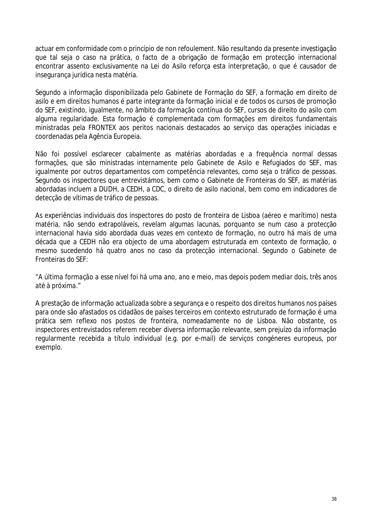actuar em conformidade com o princípio de *non refoulement*. Não resultando da presente investigação que tal seja o caso na prática, o facto de a obrigação de formação em protecção internacional encontrar assento exclusivamente na Lei do Asilo reforça esta interpretação, o que é causador de insegurança jurídica nesta matéria.

Segundo a informação disponibilizada pelo Gabinete de Formação do SEF, a formação em direito de asilo e em direitos humanos é parte integrante da formação inicial e de todos os cursos de promoção do SEF, existindo, igualmente, no âmbito da formação contínua do SEF, cursos de direito do asilo com alguma regularidade. Esta formação é complementada com formações em direitos fundamentais ministradas pela FRONTEX aos peritos nacionais destacados ao serviço das operações iniciadas e coordenadas pela Agência Europeia.

Não foi possível esclarecer cabalmente as matérias abordadas e a frequência normal dessas formações, que são ministradas internamente pelo Gabinete de Asilo e Refugiados do SEF, mas igualmente por outros departamentos com competência relevantes, como seja o tráfico de pessoas. Segundo os inspectores que entrevistámos, bem como o Gabinete de Fronteiras do SEF, as matérias abordadas incluem a DUDH, a CEDH, a CDC, o direito de asilo nacional, bem como em indicadores de detecção de vítimas de tráfico de pessoas.

As experiências individuais dos inspectores do posto de fronteira de Lisboa (aéreo e marítimo) nesta matéria, não sendo extrapoláveis, revelam algumas lacunas, porquanto se num caso a protecção internacional havia sido abordada duas vezes em contexto de formação, no outro há mais de uma década que a CEDH não era objecto de uma abordagem estruturada em contexto de formação, o mesmo sucedendo há quatro anos no caso da protecção internacional. Segundo o Gabinete de Fronteiras do SEF:

#### *"A última formação a esse nível foi há uma ano, ano e meio, mas depois podem mediar dois, três anos até à próxima."*

A prestação de informação actualizada sobre a segurança e o respeito dos direitos humanos nos países para onde são afastados os cidadãos de países terceiros em contexto estruturado de formação é uma prática sem reflexo nos postos de fronteira, nomeadamente no de Lisboa. Não obstante, os inspectores entrevistados referem receber diversa informação relevante, sem prejuízo da informação regularmente recebida a título individual (e.g. por e-mail) de serviços congéneres europeus, por exemplo.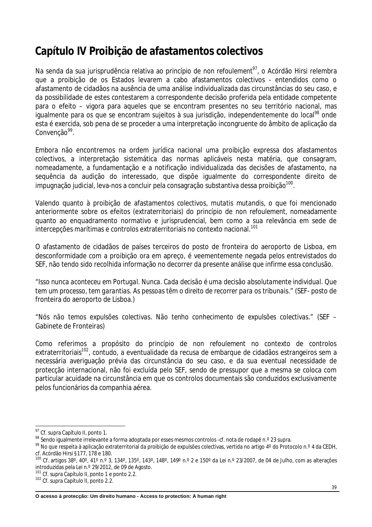## **Capítulo IV Proibição de afastamentos colectivos**

Na senda da sua jurisprudência relativa ao princípio de *non refoulement<sup>97</sup>*, o Acórdão *Hirsi* relembra que a proibição de os Estados levarem a cabo afastamentos colectivos - entendidos como o afastamento de cidadãos na ausência de uma análise individualizada das circunstâncias do seu caso, e da possibilidade de estes contestarem a correspondente decisão proferida pela entidade competente para o efeito – vigora para aqueles que se encontram presentes no seu território nacional, mas igualmente para os que se encontram sujeitos à sua jurisdição, independentemente do local<sup>98</sup> onde esta é exercida, sob pena de se proceder a uma interpretação incongruente do âmbito de aplicação da Convenção<sup>99</sup>.

Embora não encontremos na ordem jurídica nacional uma proibição expressa dos afastamentos colectivos, a interpretação sistemática das normas aplicáveis nesta matéria, que consagram, nomeadamente, a fundamentação e a notificação individualizada das decisões de afastamento, na sequência da audição do interessado, que dispõe igualmente do correspondente direito de impugnação judicial, leva-nos a concluir pela consagração substantiva dessa proibição $^{100}$ .

Valendo quanto à proibição de afastamentos colectivos, *mutatis mutandis*, o que foi mencionado anteriormente sobre os efeitos (extraterritoriais) do princípio de *non refoulement*, nomeadamente quanto ao enquadramento normativo e jurisprudencial, bem como a sua relevância em sede de intercepções marítimas e controlos extraterritoriais no contexto nacional. 101

O afastamento de cidadãos de países terceiros do posto de fronteira do aeroporto de Lisboa, em desconformidade com a proibição ora em apreço, é veementemente negada pelos entrevistados do SEF, não tendo sido recolhida informação no decorrer da presente análise que infirme essa conclusão.

*"Isso nunca aconteceu em Portugal. Nunca. Cada decisão é uma decisão absolutamente individual. Que tem um processo, tem garantias. As pessoas têm o direito de recorrer para os tribunais."* (SEF- posto de fronteira do aeroporto de Lisboa.)

*"Nós não temos expulsões colectivas. Não tenho conhecimento de expulsões colectivas."* (SEF – Gabinete de Fronteiras)

Como referimos a propósito do princípio de *non refoulement* no contexto de controlos extraterritoriais<sup>102</sup>, contudo, a eventualidade da recusa de embarque de cidadãos estrangeiros sem a necessária averiguação prévia das circunstância do seu caso, e da sua eventual necessidade de protecção internacional, não foi excluída pelo SEF, sendo de pressupor que a mesma se coloca com particular acuidade na circunstância em que os controlos documentais são conduzidos exclusivamente pelos funcionários da companhia aérea.

 $\overline{a}$ 

**O acesso à protecção: Um direito humano - Access to protection: A human right**

<sup>&</sup>lt;sup>97</sup> Cf. supra Capítulo II, ponto 1.

<sup>98</sup> Sendo igualmente irrelevante a forma adoptada por esses mesmos controlos -cf. nota de rodapé n.º 23 supra.

<sup>99</sup> No que respeita à aplicação extraterritorial da proibição de expulsões colectivas, vertida no artigo 4° do Protocolo n.º 4 da CEDH, cf. Acórdão Hirsi §177, 178 e 180.

<sup>&</sup>lt;sup>100</sup> Cf. artigos 38°, 40°, 41° n.° 3, 134°, 135°, 143°, 148°, 149° n.° 2 e 150° da Lei n.° 23/2007, de 04 de Julho, com as alterações introduzidas pela Lei n.º 29/2012, de 09 de Agosto.

<sup>101</sup> Cf. supra Capítulo II, ponto 1 e ponto 2.2.

<sup>102</sup> Cf. supra Capítulo II, ponto 2.2.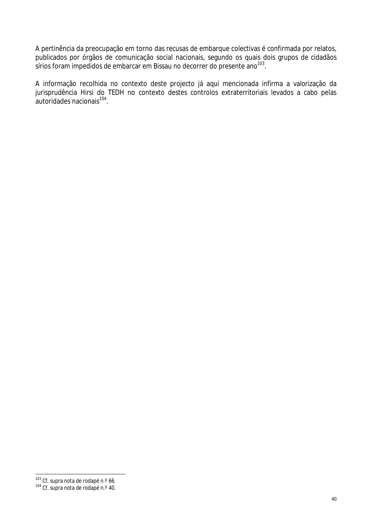A pertinência da preocupação em torno das recusas de embarque colectivas é confirmada por relatos, publicados por órgãos de comunicação social nacionais, segundo os quais dois grupos de cidadãos sírios foram impedidos de embarcar em Bissau no decorrer do presente ano $^{103}$ .

A informação recolhida no contexto deste projecto já aqui mencionada infirma a valorização da jurisprudência *Hirsi* do TEDH no contexto destes controlos extraterritoriais levados a cabo pelas autoridades nacionais<sup>104</sup>.

 $\overline{a}$ <sup>103</sup> Cf. supra nota de rodapé n.º 66.

<sup>&</sup>lt;sup>104</sup> Cf. supra nota de rodapé n.º 40.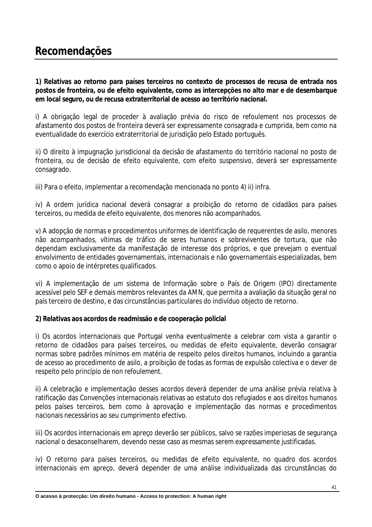## **Recomendações**

**1) Relativas ao retorno para países terceiros no contexto de processos de recusa de entrada nos postos de fronteira, ou de efeito equivalente, como as intercepções no alto mar e de desembarque em local seguro, ou de recusa extraterritorial de acesso ao território nacional.**

i) A obrigação legal de proceder à avaliação prévia do risco de *refoulement* nos processos de afastamento dos postos de fronteira deverá ser expressamente consagrada e cumprida, bem como na eventualidade do exercício extraterritorial de jurisdição pelo Estado português.

ii) O direito à impugnação jurisdicional da decisão de afastamento do território nacional no posto de fronteira, ou de decisão de efeito equivalente, com efeito suspensivo, deverá ser expressamente consagrado.

iii) Para o efeito, implementar a recomendação mencionada no ponto 4) ii) infra.

iv) A ordem jurídica nacional deverá consagrar a proibição do retorno de cidadãos para países terceiros, ou medida de efeito equivalente, dos menores não acompanhados.

v) A adopção de normas e procedimentos uniformes de identificação de requerentes de asilo, menores não acompanhados, vítimas de tráfico de seres humanos e sobreviventes de tortura, que não dependam exclusivamente da manifestação de interesse dos próprios, e que prevejam o eventual envolvimento de entidades governamentais, internacionais e não governamentais especializadas, bem como o apoio de intérpretes qualificados.

vi) A implementação de um sistema de Informação sobre o País de Origem (IPO) directamente acessível pelo SEF e demais membros relevantes da AMN, que permita a avaliação da situação geral no país terceiro de destino, e das circunstâncias particulares do indivíduo objecto de retorno.

#### **2) Relativas aos acordos de readmissão e de cooperação policial**

i) Os acordos internacionais que Portugal venha eventualmente a celebrar com vista a garantir o retorno de cidadãos para países terceiros, ou medidas de efeito equivalente, deverão consagrar normas sobre padrões mínimos em matéria de respeito pelos direitos humanos, incluindo a garantia de acesso ao procedimento de asilo, a proibição de todas as formas de expulsão colectiva e o dever de respeito pelo princípio de *non refoulement*.

ii) A celebração e implementação desses acordos deverá depender de uma análise prévia relativa à ratificação das Convenções internacionais relativas ao estatuto dos refugiados e aos direitos humanos pelos países terceiros, bem como à aprovação e implementação das normas e procedimentos nacionais necessários ao seu cumprimento efectivo.

iii) Os acordos internacionais em apreço deverão ser públicos, salvo se razões imperiosas de segurança nacional o desaconselharem, devendo nesse caso as mesmas serem expressamente justificadas.

iv) O retorno para países terceiros, ou medidas de efeito equivalente, no quadro dos acordos internacionais em apreço, deverá depender de uma análise individualizada das circunstâncias do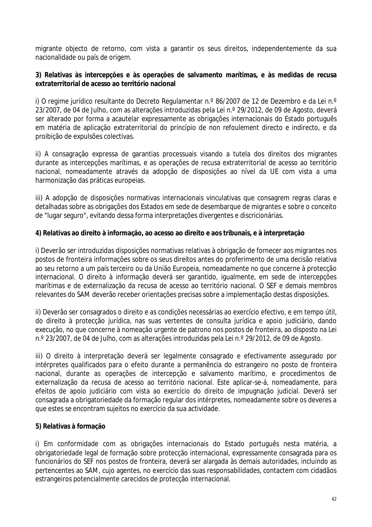migrante objecto de retorno, com vista a garantir os seus direitos, independentemente da sua nacionalidade ou país de origem.

#### **3) Relativas às intercepções e às operações de salvamento marítimas, e às medidas de recusa extraterritorial de acesso ao território nacional**

i) O regime jurídico resultante do Decreto Regulamentar n.º 86/2007 de 12 de Dezembro e da Lei n.º 23/2007, de 04 de Julho, com as alterações introduzidas pela Lei n.º 29/2012, de 09 de Agosto, deverá ser alterado por forma a acautelar expressamente as obrigações internacionais do Estado português em matéria de aplicação extraterritorial do princípio de *non refoulement* directo e indirecto, e da proibição de expulsões colectivas.

ii) A consagração expressa de garantias processuais visando a tutela dos direitos dos migrantes durante as intercepções marítimas, e as operações de recusa extraterritorial de acesso ao território nacional, nomeadamente através da adopção de disposições ao nível da UE com vista a uma harmonização das práticas europeias.

iii) A adopção de disposições normativas internacionais vinculativas que consagrem regras claras e detalhadas sobre as obrigações dos Estados em sede de desembarque de migrantes e sobre o conceito de "lugar seguro", evitando dessa forma interpretações divergentes e discricionárias.

#### **4) Relativas ao direito à informação, ao acesso ao direito e aos tribunais, e à interpretação**

i) Deverão ser introduzidas disposições normativas relativas à obrigação de fornecer aos migrantes nos postos de fronteira informações sobre os seus direitos antes do proferimento de uma decisão relativa ao seu retorno a um país terceiro ou da União Europeia, nomeadamente no que concerne à protecção internacional. O direito à informação deverá ser garantido, igualmente, em sede de intercepções marítimas e de externalização da recusa de acesso ao território nacional. O SEF e demais membros relevantes do SAM deverão receber orientações precisas sobre a implementação destas disposições.

ii) Deverão ser consagrados o direito e as condições necessárias ao exercício efectivo, e em tempo útil, do direito à protecção jurídica, nas suas vertentes de consulta jurídica e apoio judiciário, dando execução, no que concerne à nomeação urgente de patrono nos postos de fronteira, ao disposto na Lei n.º 23/2007, de 04 de Julho, com as alterações introduzidas pela Lei n.º 29/2012, de 09 de Agosto.

iii) O direito à interpretação deverá ser legalmente consagrado e efectivamente assegurado por intérpretes qualificados para o efeito durante a permanência do estrangeiro no posto de fronteira nacional, durante as operações de intercepção e salvamento marítimo, e procedimentos de externalização da recusa de acesso ao território nacional. Este aplicar-se-á, nomeadamente, para efeitos de apoio judiciário com vista ao exercício do direito de impugnação judicial. Deverá ser consagrada a obrigatoriedade da formação regular dos intérpretes, nomeadamente sobre os deveres a que estes se encontram sujeitos no exercício da sua actividade.

#### **5) Relativas à formação**

i) Em conformidade com as obrigações internacionais do Estado português nesta matéria, a obrigatoriedade legal de formação sobre protecção internacional, expressamente consagrada para os funcionários do SEF nos postos de fronteira, deverá ser alargada às demais autoridades, incluindo as pertencentes ao SAM, cujo agentes, no exercício das suas responsabilidades, contactem com cidadãos estrangeiros potencialmente carecidos de protecção internacional.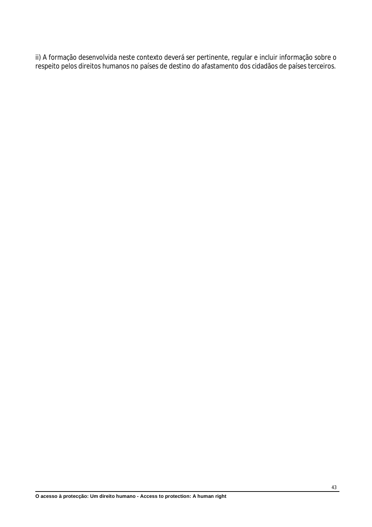ii) A formação desenvolvida neste contexto deverá ser pertinente, regular e incluir informação sobre o respeito pelos direitos humanos no países de destino do afastamento dos cidadãos de países terceiros.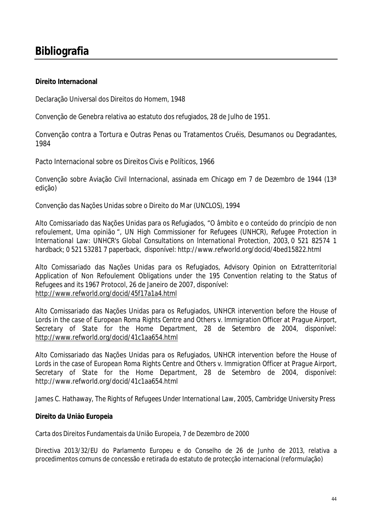## **Bibliografia**

#### **Direito Internacional**

Declaração Universal dos Direitos do Homem, 1948

Convenção de Genebra relativa ao estatuto dos refugiados, 28 de Julho de 1951.

Convenção contra a Tortura e Outras Penas ou Tratamentos Cruéis, Desumanos ou Degradantes, 1984

Pacto Internacional sobre os Direitos Civis e Políticos, 1966

Convenção sobre Aviação Civil Internacional, assinada em Chicago em 7 de Dezembro de 1944 (13ª edição)

Convenção das Nações Unidas sobre o Direito do Mar (UNCLOS), 1994

Alto Comissariado das Nações Unidas para os Refugiados, "*O âmbito e o conteúdo do princípio de non refoulement, Uma opinião* ", UN High Commissioner for Refugees (UNHCR), *Refugee Protection in International Law: UNHCR's Global Consultations on International Protection*, 2003, 0 521 82574 1 hardback; 0 521 53281 7 paperback, disponível: http://www.refworld.org/docid/4bed15822.html

Alto Comissariado das Nações Unidas para os Refugiados, *Advisory Opinion on Extratterritorial* Application of Non Refoulement Obligations under the 195 Convention relating to the Status of Refugees and its 1967 Protocol, 26 de Janeiro de 2007, disponível: http://www.refworld.org/docid/45f17a1a4.html

Alto Comissariado das Nações Unidas para os Refugiados, *UNHCR intervention before the House of Lords in the case of European Roma Rights Centre and Others v. Immigration Officer at Prague Airport, Secretary of State for the Home Department*, 28 de Setembro de 2004, disponível: http://www.refworld.org/docid/41c1aa654.html

Alto Comissariado das Nações Unidas para os Refugiados, *UNHCR intervention before the House of Lords in the case of European Roma Rights Centre and Others v. Immigration Officer at Prague Airport, Secretary of State for the Home Department*, 28 de Setembro de 2004, disponível: http://www.refworld.org/docid/41c1aa654.html

James C. Hathaway, *The Rights of Refugees Under International Law*, 2005, Cambridge University Press

#### **Direito da União Europeia**

Carta dos Direitos Fundamentais da União Europeia, 7 de Dezembro de 2000

Directiva 2013/32/EU do Parlamento Europeu e do Conselho de 26 de Junho de 2013, relativa a procedimentos comuns de concessão e retirada do estatuto de protecção internacional (reformulação)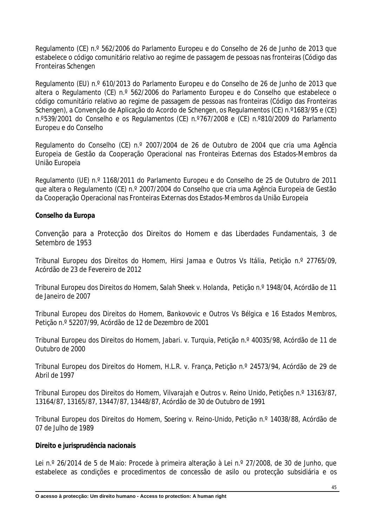Regulamento (CE) n.º 562/2006 do Parlamento Europeu e do Conselho de 26 de Junho de 2013 que estabelece o código comunitário relativo ao regime de passagem de pessoas nas fronteiras (Código das Fronteiras Schengen

Regulamento (EU) n.º 610/2013 do Parlamento Europeu e do Conselho de 26 de Junho de 2013 que altera o Regulamento (CE) n.º 562/2006 do Parlamento Europeu e do Conselho que estabelece o código comunitário relativo ao regime de passagem de pessoas nas fronteiras (Código das Fronteiras Schengen), a Convenção de Aplicação do Acordo de Schengen, os Regulamentos (CE) n.º1683/95 e (CE) n.º539/2001 do Conselho e os Regulamentos (CE) n.º767/2008 e (CE) n.º810/2009 do Parlamento Europeu e do Conselho

Regulamento do Conselho (CE) n.º 2007/2004 de 26 de Outubro de 2004 que cria uma Agência Europeia de Gestão da Cooperação Operacional nas Fronteiras Externas dos Estados-Membros da União Europeia

Regulamento (UE) n.º 1168/2011 do Parlamento Europeu e do Conselho de 25 de Outubro de 2011 que altera o Regulamento (CE) n.º 2007/2004 do Conselho que cria uma Agência Europeia de Gestão da Cooperação Operacional nas Fronteiras Externas dos Estados-Membros da União Europeia

#### **Conselho da Europa**

Convenção para a Protecção dos Direitos do Homem e das Liberdades Fundamentais, 3 de Setembro de 1953

Tribunal Europeu dos Direitos do Homem, *Hirsi Jamaa e Outros Vs Itália,* Petição n.º 27765/09, Acórdão de 23 de Fevereiro de 2012

Tribunal Europeu dos Direitos do Homem, *Salah Sheek v. Holanda*, Petição n.º 1948/04, Acórdão de 11 de Janeiro de 2007

Tribunal Europeu dos Direitos do Homem, *Bankovovic e Outros Vs Bélgica e 16 Estados Membros,*  Petição n.º 52207/99, Acórdão de 12 de Dezembro de 2001

Tribunal Europeu dos Direitos do Homem, *Jabari. v. Turquia*, Petição n.º 40035/98, Acórdão de 11 de Outubro de 2000

Tribunal Europeu dos Direitos do Homem, *H.L.R. v. França*, Petição n.º 24573/94, Acórdão de 29 de Abril de 1997

Tribunal Europeu dos Direitos do Homem, *Vilvarajah e Outros v. Reino Unido*, Petições n.º 13163/87, 13164/87, 13165/87, 13447/87, 13448/87, Acórdão de 30 de Outubro de 1991

Tribunal Europeu dos Direitos do Homem, *Soering v. Reino-Unido*, Petição n.º 14038/88, Acórdão de 07 de Julho de 1989

#### **Direito e jurisprudência nacionais**

Lei n.º 26/2014 de 5 de Maio: Procede à primeira alteração à Lei n.º 27/2008, de 30 de Junho, que estabelece as condições e procedimentos de concessão de asilo ou protecção subsidiária e os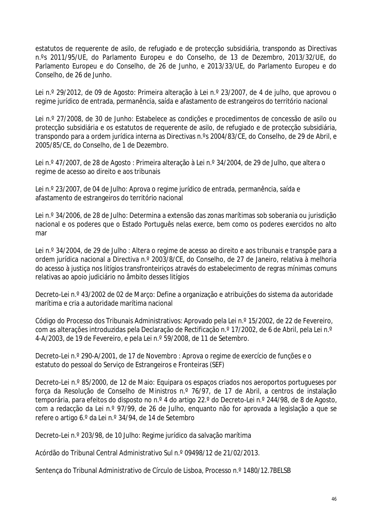estatutos de requerente de asilo, de refugiado e de protecção subsidiária, transpondo as Directivas n.ºs 2011/95/UE, do Parlamento Europeu e do Conselho, de 13 de Dezembro, 2013/32/UE, do Parlamento Europeu e do Conselho, de 26 de Junho, e 2013/33/UE, do Parlamento Europeu e do Conselho, de 26 de Junho.

Lei n.º 29/2012, de 09 de Agosto: Primeira alteração à Lei n.º 23/2007, de 4 de julho, que aprovou o regime jurídico de entrada, permanência, saída e afastamento de estrangeiros do território nacional

Lei n.º 27/2008, de 30 de Junho: Estabelece as condições e procedimentos de concessão de asilo ou protecção subsidiária e os estatutos de requerente de asilo, de refugiado e de protecção subsidiária, transpondo para a ordem jurídica interna as Directivas n.ºs 2004/83/CE, do Conselho, de 29 de Abril, e 2005/85/CE, do Conselho, de 1 de Dezembro.

Lei n.º 47/2007, de 28 de Agosto : Primeira alteração à Lei n.º 34/2004, de 29 de Julho, que altera o regime de acesso ao direito e aos tribunais

Lei n.º 23/2007, de 04 de Julho: Aprova o regime jurídico de entrada, permanência, saída e afastamento de estrangeiros do território nacional

Lei n.º 34/2006, de 28 de Julho: Determina a extensão das zonas marítimas sob soberania ou jurisdição nacional e os poderes que o Estado Português nelas exerce, bem como os poderes exercidos no alto mar

Lei n.º 34/2004, de 29 de Julho : Altera o regime de acesso ao direito e aos tribunais e transpõe para a ordem jurídica nacional a Directiva n.º 2003/8/CE, do Conselho, de 27 de Janeiro, relativa à melhoria do acesso à justiça nos litígios transfronteiriços através do estabelecimento de regras mínimas comuns relativas ao apoio judiciário no âmbito desses litígios

Decreto-Lei n.º 43/2002 de 02 de Março: Define a organização e atribuições do sistema da autoridade marítima e cria a autoridade marítima nacional

Código do Processo dos Tribunais Administrativos: Aprovado pela Lei n.º 15/2002, de 22 de Fevereiro, com as alterações introduzidas pela Declaração de Rectificação n.º 17/2002, de 6 de Abril, pela Lei n.º 4-A/2003, de 19 de Fevereiro, e pela Lei n.º 59/2008, de 11 de Setembro.

Decreto-Lei n.º 290-A/2001, de 17 de Novembro : Aprova o regime de exercício de funções e o estatuto do pessoal do Serviço de Estrangeiros e Fronteiras (SEF)

Decreto-Lei n.º 85/2000, de 12 de Maio: Equipara os espaços criados nos aeroportos portugueses por força da Resolução de Conselho de Ministros n.º 76/97, de 17 de Abril, a centros de instalação temporária, para efeitos do disposto no n.º 4 do artigo 22.º do Decreto-Lei n.º 244/98, de 8 de Agosto, com a redacção da Lei n.º 97/99, de 26 de Julho, enquanto não for aprovada a legislação a que se refere o artigo 6.º da Lei n.º 34/94, de 14 de Setembro

Decreto-Lei n.º 203/98, de 10 Julho: Regime jurídico da salvação marítima

Acórdão do Tribunal Central Administrativo Sul n.º 09498/12 de 21/02/2013.

Sentença do Tribunal Administrativo de Círculo de Lisboa, Processo n.º 1480/12.7BELSB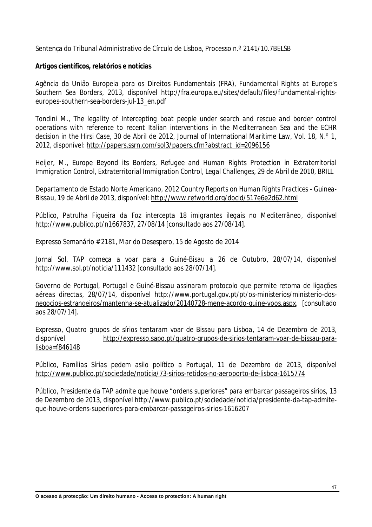Sentença do Tribunal Administrativo de Círculo de Lisboa, Processo n.º 2141/10.7BELSB

#### **Artigos científicos, relatórios e notícias**

Agência da União Europeia para os Direitos Fundamentais (FRA), *Fundamental Rights at Europe's Southern Sea Borders, 2013,* disponível http://fra.europa.eu/sites/default/files/fundamental-rightseuropes-southern-sea-borders-jul-13\_en.pdf

Tondini M., *The legality of Intercepting boat people under search and rescue and border control operations with reference to recent Italian interventions in the Mediterranean Sea and the ECHR decision in the Hirsi Case,* 30 de Abril de 2012, Journal of International Maritime Law, Vol. 18, N.º 1, 2012, disponível: http://papers.ssrn.com/sol3/papers.cfm?abstract\_id=2096156

Heijer, M., *Europe Beyond its Borders, Refugee and Human Rights Protection in Extraterritorial Immigration Control*, *Extraterritorial Immigration Control, Legal Challenges*, 29 de Abril de 2010, BRILL

Departamento de Estado Norte Americano, *2012 Country Reports on Human Rights Practices - Guinea-Bissau*, 19 de Abril de 2013, disponível: http://www.refworld.org/docid/517e6e2d62.html

Público, *Patrulha Figueira da Foz intercepta 18 imigrantes ilegais no Mediterrâneo*, disponível http://www.publico.pt/n1667837, 27/08/14 [consultado aos 27/08/14].

Expresso Semanário # 2181, *Mar do Desespero*, 15 de Agosto de 2014

Jornal Sol, *TAP começa a voar para a Guiné-Bisau a 26 de Outubro*, 28/07/14, disponível http://www.sol.pt/noticia/111432 [consultado aos 28/07/14].

Governo de Portugal, *Portugal e Guiné-Bissau assinaram protocolo que permite retoma de ligações aéreas directas,* 28/07/14, disponível http://www.portugal.gov.pt/pt/os-ministerios/ministerio-dosnegocios-estrangeiros/mantenha-se-atualizado/20140728-mene-acordo-guine-voos.aspx*,* [consultado aos 28/07/14].

Expresso, *Quatro grupos de sírios tentaram voar de Bissau para Lisboa*, 14 de Dezembro de 2013, disponível http://expresso.sapo.pt/quatro-grupos-de-sirios-tentaram-voar-de-bissau-paralisboa=f846148

Público, *Famílias Sírias pedem asilo político a Portugal*, 11 de Dezembro de 2013, disponível http://www.publico.pt/sociedade/noticia/73-sirios-retidos-no-aeroporto-de-lisboa-1615774

Público, *Presidente da TAP admite que houve "ordens superiores" para embarcar passageiros sírios,* 13 de Dezembro de 2013, disponível http://www.publico.pt/sociedade/noticia/presidente-da-tap-admiteque-houve-ordens-superiores-para-embarcar-passageiros-sirios-1616207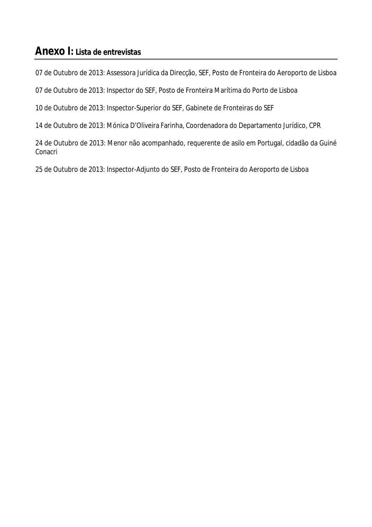## **Anexo I: Lista de entrevistas**

07 de Outubro de 2013: Assessora Jurídica da Direcção, SEF, Posto de Fronteira do Aeroporto de Lisboa

07 de Outubro de 2013: Inspector do SEF, Posto de Fronteira Marítima do Porto de Lisboa

10 de Outubro de 2013: Inspector-Superior do SEF, Gabinete de Fronteiras do SEF

14 de Outubro de 2013: Mónica D'Oliveira Farinha, Coordenadora do Departamento Jurídico, CPR

24 de Outubro de 2013: Menor não acompanhado, requerente de asilo em Portugal, cidadão da Guiné Conacri

25 de Outubro de 2013: Inspector-Adjunto do SEF, Posto de Fronteira do Aeroporto de Lisboa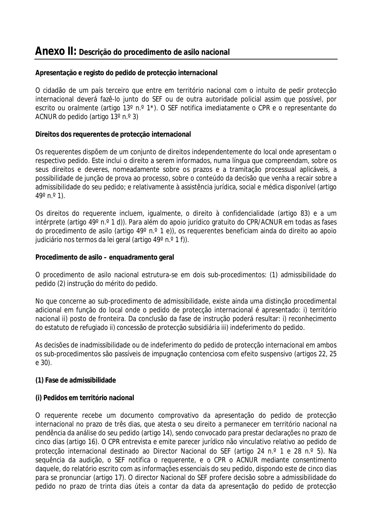### **Anexo II: Descrição do procedimento de asilo nacional**

#### **Apresentação e registo do pedido de protecção internacional**

O cidadão de um país terceiro que entre em território nacional com o intuito de pedir protecção internacional deverá fazê-lo junto do SEF ou de outra autoridade policial assim que possível, por escrito ou oralmente (artigo 13° n.º 1<sup>\*</sup>). O SEF notifica imediatamente o CPR e o representante do ACNUR do pedido (artigo 13º n.º 3)

#### **Direitos dos requerentes de protecção internacional**

Os requerentes dispõem de um conjunto de direitos independentemente do local onde apresentam o respectivo pedido. Este inclui o direito a serem informados, numa língua que compreendam, sobre os seus direitos e deveres, nomeadamente sobre os prazos e a tramitação processual aplicáveis, a possibilidade de junção de prova ao processo, sobre o conteúdo da decisão que venha a recair sobre a admissibilidade do seu pedido; e relativamente à assistência jurídica, social e médica disponível (artigo  $49^{\circ}$  n. $^{\circ}$  1).

Os direitos do requerente incluem, igualmente, o direito à confidencialidade (artigo 83) e a um intérprete (artigo 49° n.º 1 d)). Para além do apoio jurídico gratuito do CPR/ACNUR em todas as fases do procedimento de asilo (artigo 49º n.º 1 e)), os requerentes beneficiam ainda do direito ao apoio judiciário nos termos da lei geral (artigo 49° n.º 1 f)).

#### **Procedimento de asilo – enquadramento geral**

O procedimento de asilo nacional estrutura-se em dois sub-procedimentos: (1) admissibilidade do pedido (2) instrução do mérito do pedido.

No que concerne ao sub-procedimento de admissibilidade, existe ainda uma distinção procedimental adicional em função do local onde o pedido de protecção internacional é apresentado: i) território nacional ii) posto de fronteira. Da conclusão da fase de instrução poderá resultar: i) reconhecimento do estatuto de refugiado ii) concessão de protecção subsidiária iii) indeferimento do pedido.

As decisões de inadmissibilidade ou de indeferimento do pedido de protecção internacional em ambos os sub-procedimentos são passíveis de impugnação contenciosa com efeito suspensivo (artigos 22, 25 e 30).

#### **(1) Fase de admissibilidade**

#### **(i) Pedidos em território nacional**

O requerente recebe um documento comprovativo da apresentação do pedido de protecção internacional no prazo de três dias, que atesta o seu direito a permanecer em território nacional na pendência da análise do seu pedido (artigo 14), sendo convocado para prestar declarações no prazo de cinco dias (artigo 16). O CPR entrevista e emite parecer jurídico não vinculativo relativo ao pedido de protecção internacional destinado ao Director Nacional do SEF (artigo 24 n.º 1 e 28 n.º 5). Na sequência da audição, o SEF notifica o requerente, e o CPR o ACNUR mediante consentimento daquele, do relatório escrito com as informações essenciais do seu pedido, dispondo este de cinco dias para se pronunciar (artigo 17). O director Nacional do SEF profere decisão sobre a admissibilidade do pedido no prazo de trinta dias úteis a contar da data da apresentação do pedido de protecção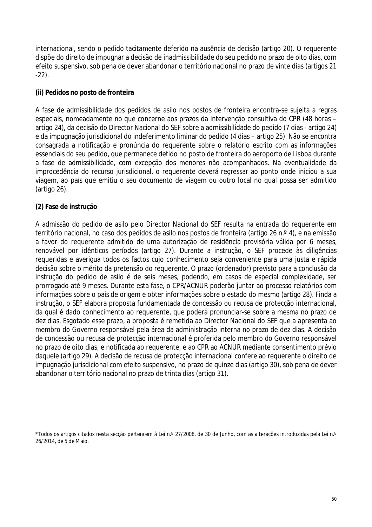internacional, sendo o pedido tacitamente deferido na ausência de decisão (artigo 20). O requerente dispõe do direito de impugnar a decisão de inadmissibilidade do seu pedido no prazo de oito dias, com efeito suspensivo, sob pena de dever abandonar o território nacional no prazo de vinte dias (artigos 21 -22).

#### **(ii) Pedidos no posto de fronteira**

A fase de admissibilidade dos pedidos de asilo nos postos de fronteira encontra-se sujeita a regras especiais, nomeadamente no que concerne aos prazos da intervenção consultiva do CPR (48 horas – artigo 24), da decisão do Director Nacional do SEF sobre a admissibilidade do pedido (7 dias - artigo 24) e da impugnação jurisdicional do indeferimento liminar do pedido (4 dias – artigo 25). Não se encontra consagrada a notificação e pronúncia do requerente sobre o relatório escrito com as informações essenciais do seu pedido, que permanece detido no posto de fronteira do aeroporto de Lisboa durante a fase de admissibilidade, com excepção dos menores não acompanhados. Na eventualidade da improcedência do recurso jurisdicional, o requerente deverá regressar ao ponto onde iniciou a sua viagem, ao país que emitiu o seu documento de viagem ou outro local no qual possa ser admitido (artigo 26).

#### **(2) Fase de instrução**

A admissão do pedido de asilo pelo Director Nacional do SEF resulta na entrada do requerente em território nacional, no caso dos pedidos de asilo nos postos de fronteira (artigo 26 n.º 4), e na emissão a favor do requerente admitido de uma autorização de residência provisória válida por 6 meses, renovável por idênticos períodos (artigo 27). Durante a instrução, o SEF procede às diligências requeridas e averigua todos os factos cujo conhecimento seja conveniente para uma justa e rápida decisão sobre o mérito da pretensão do requerente. O prazo (ordenador) previsto para a conclusão da instrução do pedido de asilo é de seis meses, podendo, em casos de especial complexidade, ser prorrogado até 9 meses. Durante esta fase, o CPR/ACNUR poderão juntar ao processo relatórios com informações sobre o país de origem e obter informações sobre o estado do mesmo (artigo 28). Finda a instrução, o SEF elabora proposta fundamentada de concessão ou recusa de protecção internacional, da qual é dado conhecimento ao requerente, que poderá pronunciar-se sobre a mesma no prazo de dez dias. Esgotado esse prazo, a proposta é remetida ao Director Nacional do SEF que a apresenta ao membro do Governo responsável pela área da administração interna no prazo de dez dias. A decisão de concessão ou recusa de protecção internacional é proferida pelo membro do Governo responsável no prazo de oito dias, e notificada ao requerente, e ao CPR ao ACNUR mediante consentimento prévio daquele (artigo 29). A decisão de recusa de protecção internacional confere ao requerente o direito de impugnação jurisdicional com efeito suspensivo, no prazo de quinze dias (artigo 30), sob pena de dever abandonar o território nacional no prazo de trinta dias (artigo 31).

<sup>\*</sup>Todos os artigos citados nesta secção pertencem à Lei n.º 27/2008, de 30 de Junho, com as alterações introduzidas pela Lei n.º 26/2014, de 5 de Maio.